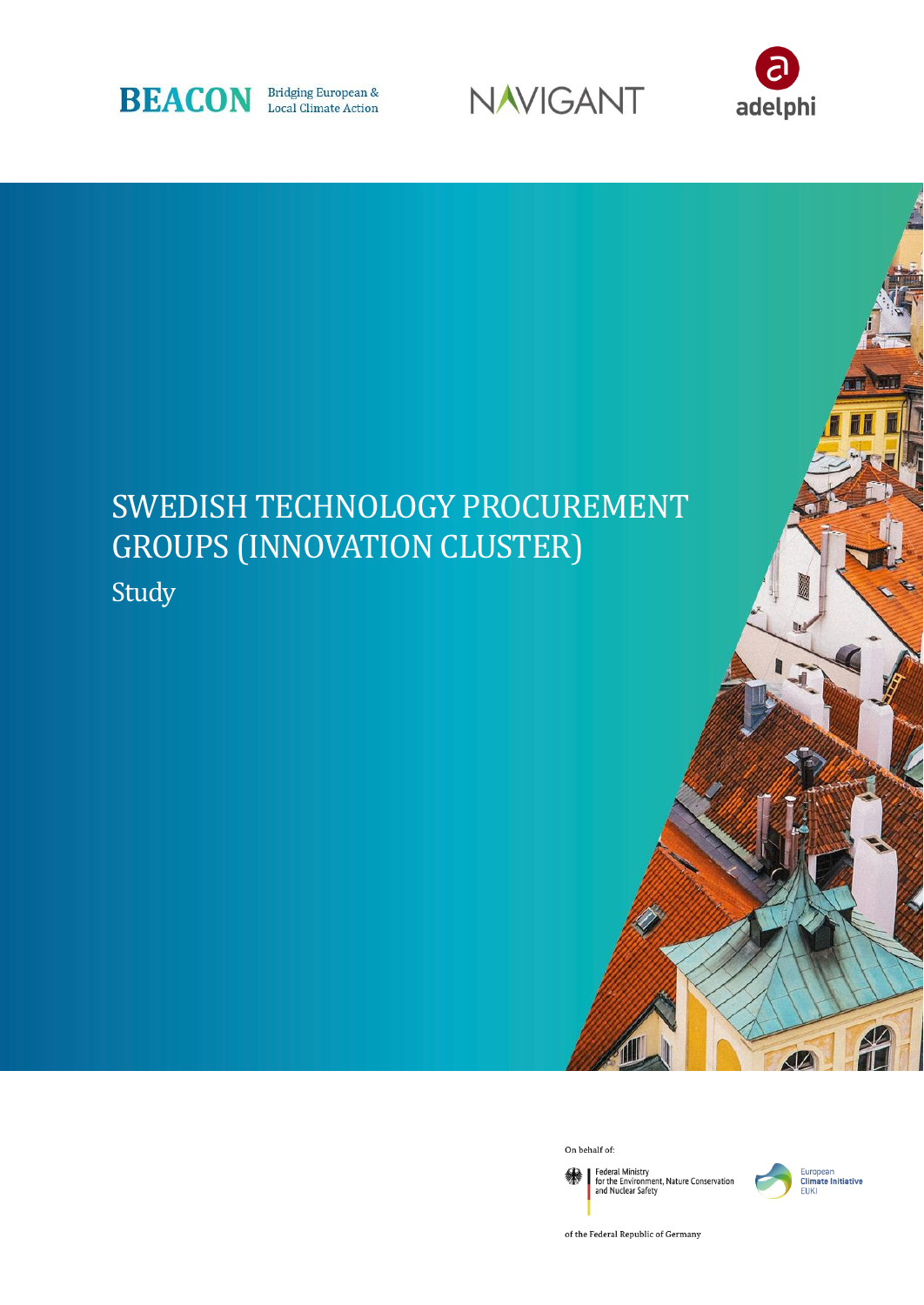





# SWEDISH TECHNOLOGY PROCUREMENT GROUPS (INNOVATION CLUSTER) Study

On behalf of:

Federal Ministry<br>for the Environment, Nature Conservation<br>and Nuclear Safety 绿



of the Federal Republic of Germany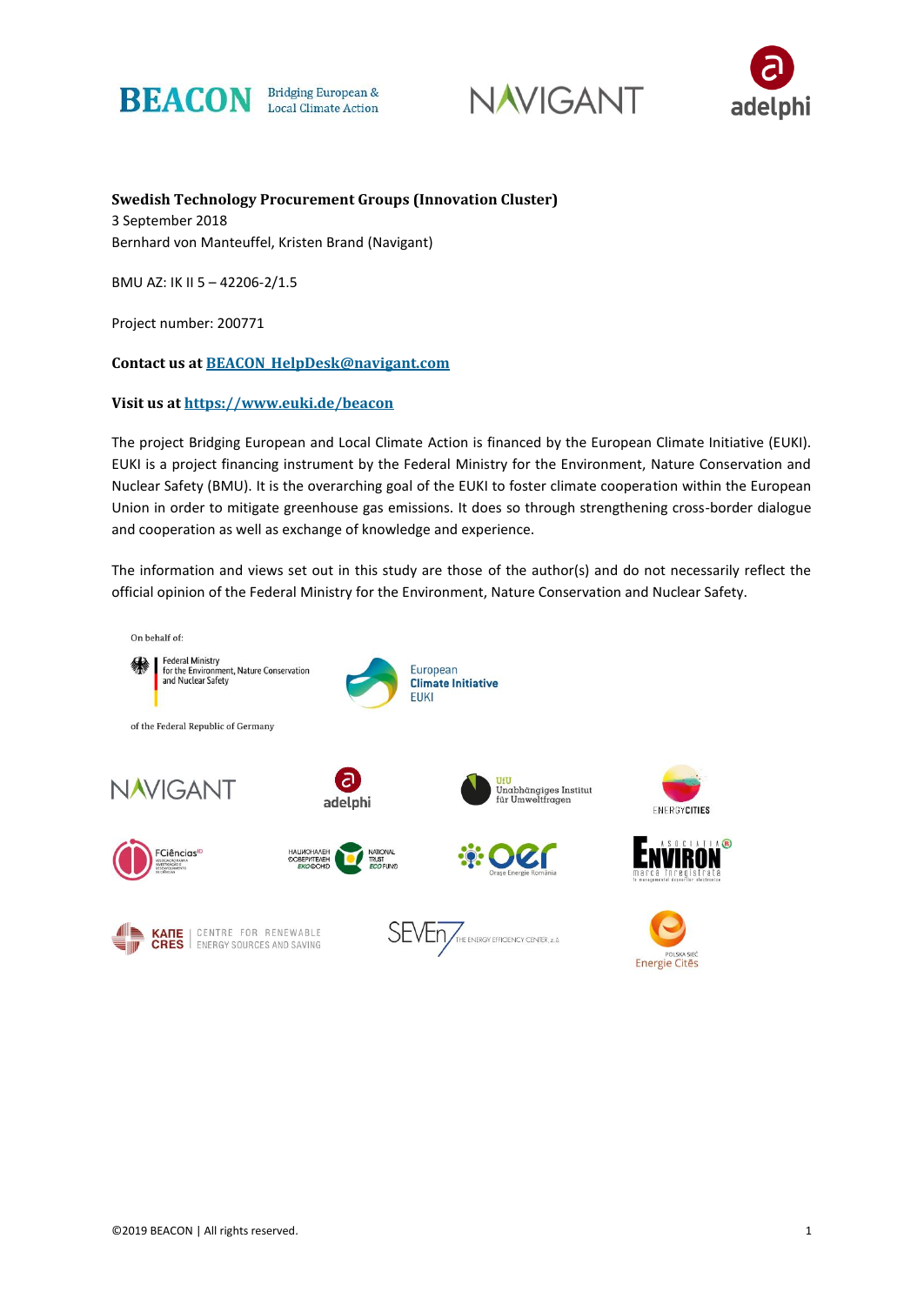





**Swedish Technology Procurement Groups (Innovation Cluster)** 3 September 2018 Bernhard von Manteuffel, Kristen Brand (Navigant)

BMU AZ: IK II 5 – 42206-2/1.5

Project number: 200771

**Contact us at [BEACON\\_HelpDesk@navigant.com](mailto:BEACON_HelpDesk@navigant.com)**

#### **Visit us at<https://www.euki.de/beacon>**

The project Bridging European and Local Climate Action is financed by the European Climate Initiative (EUKI). EUKI is a project financing instrument by the Federal Ministry for the Environment, Nature Conservation and Nuclear Safety (BMU). It is the overarching goal of the EUKI to foster climate cooperation within the European Union in order to mitigate greenhouse gas emissions. It does so through strengthening cross-border dialogue and cooperation as well as exchange of knowledge and experience.

The information and views set out in this study are those of the author(s) and do not necessarily reflect the official opinion of the Federal Ministry for the Environment, Nature Conservation and Nuclear Safety.

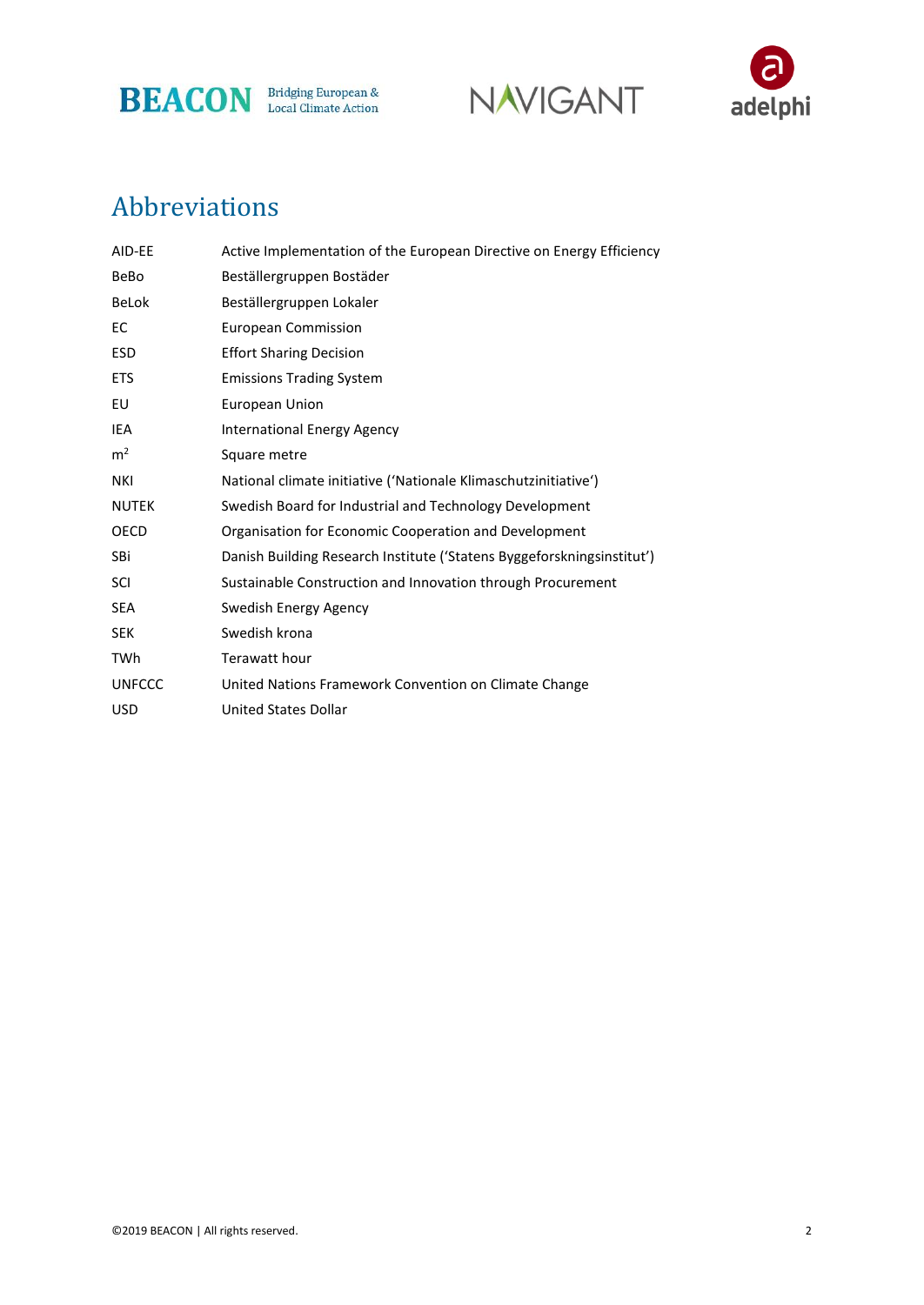





## Abbreviations

| AID-EE         | Active Implementation of the European Directive on Energy Efficiency   |
|----------------|------------------------------------------------------------------------|
| BeBo           | Beställergruppen Bostäder                                              |
| <b>BeLok</b>   | Beställergruppen Lokaler                                               |
| EC             | <b>European Commission</b>                                             |
| <b>ESD</b>     | <b>Effort Sharing Decision</b>                                         |
| <b>ETS</b>     | <b>Emissions Trading System</b>                                        |
| EU             | European Union                                                         |
| IEA            | <b>International Energy Agency</b>                                     |
| m <sup>2</sup> | Square metre                                                           |
| <b>NKI</b>     | National climate initiative ('Nationale Klimaschutzinitiative')        |
| <b>NUTEK</b>   | Swedish Board for Industrial and Technology Development                |
| <b>OECD</b>    | Organisation for Economic Cooperation and Development                  |
| SBi            | Danish Building Research Institute ('Statens Byggeforskningsinstitut') |
| SCI            | Sustainable Construction and Innovation through Procurement            |
| <b>SEA</b>     | Swedish Energy Agency                                                  |
| <b>SEK</b>     | Swedish krona                                                          |
| TWh            | Terawatt hour                                                          |
| <b>UNFCCC</b>  | United Nations Framework Convention on Climate Change                  |
| <b>USD</b>     | <b>United States Dollar</b>                                            |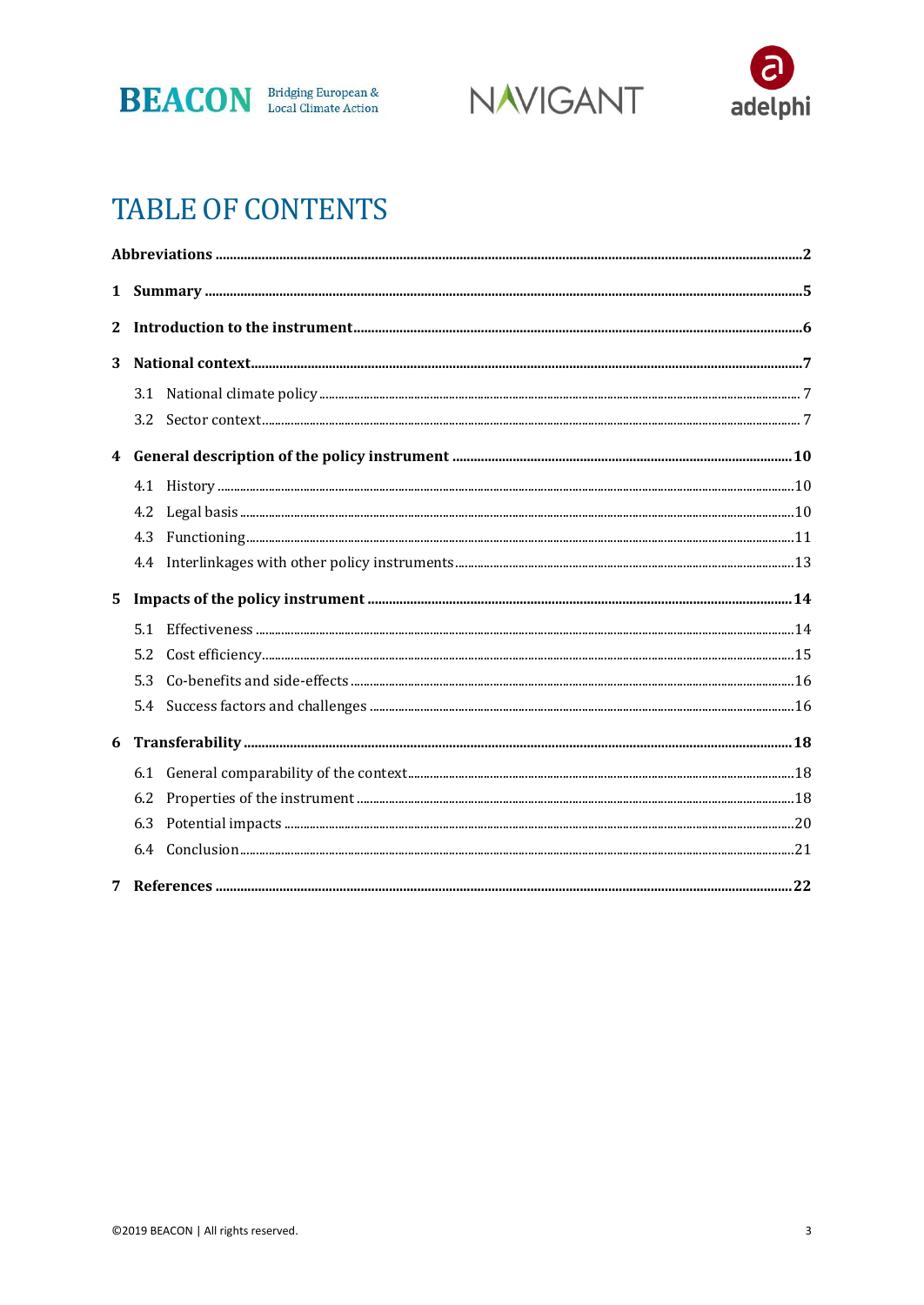





## **TABLE OF CONTENTS**

| $\mathbf{2}$ |     |  |
|--------------|-----|--|
| 3            |     |  |
|              |     |  |
|              | 3.2 |  |
|              |     |  |
|              |     |  |
|              |     |  |
|              | 4.3 |  |
|              |     |  |
| $5^{\circ}$  |     |  |
|              |     |  |
|              |     |  |
|              | 5.2 |  |
|              | 5.3 |  |
|              |     |  |
| 6            |     |  |
|              | 6.1 |  |
|              | 6.2 |  |
|              | 6.3 |  |
|              |     |  |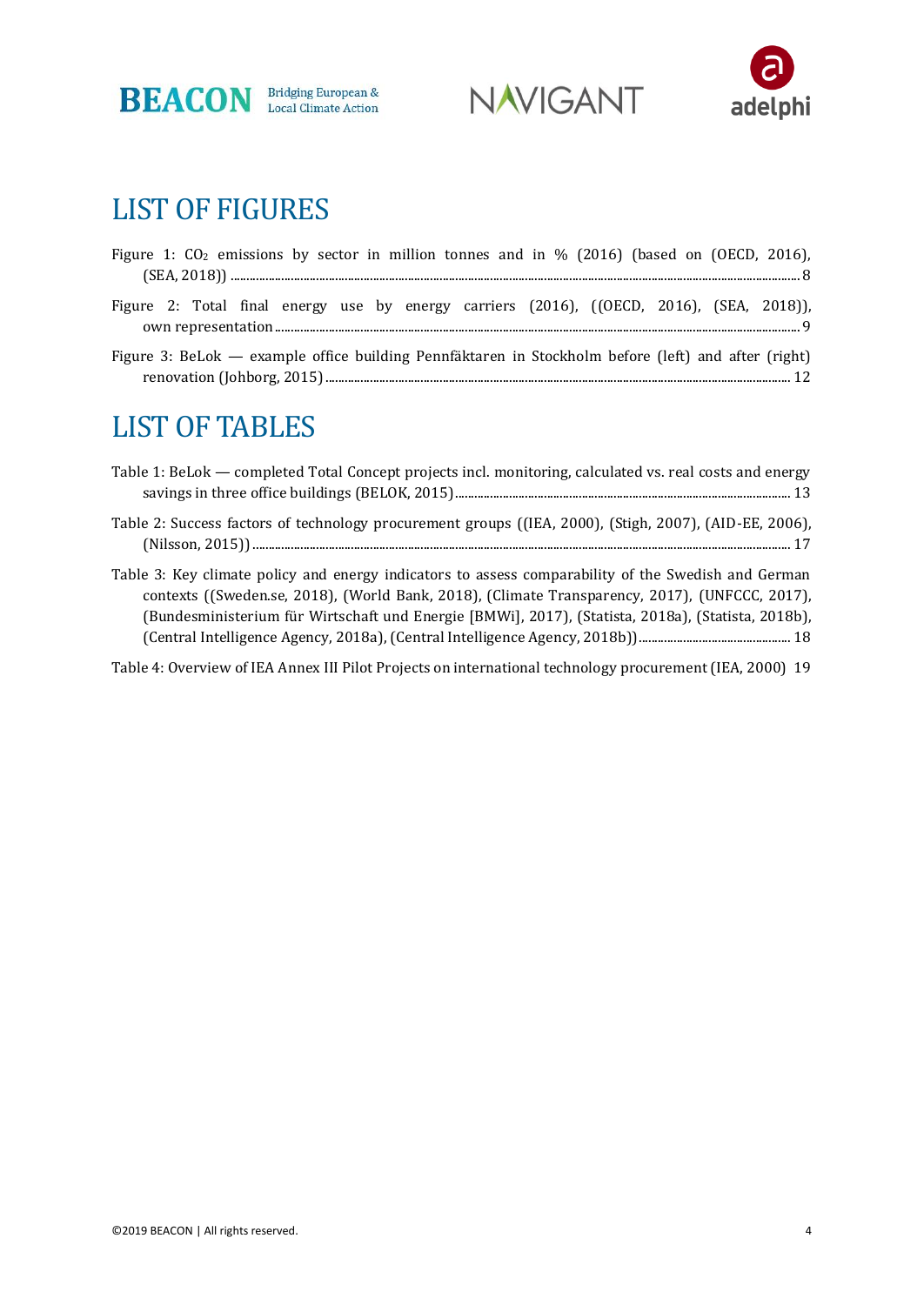





## LIST OF FIGURES

| Figure 1: $CO2$ emissions by sector in million tonnes and in % (2016) (based on (OECD, 2016), |  |  |  |  |  |  |  |  |
|-----------------------------------------------------------------------------------------------|--|--|--|--|--|--|--|--|
|                                                                                               |  |  |  |  |  |  |  |  |
| Figure 2: Total final energy use by energy carriers (2016), ((OECD, 2016), (SEA, 2018)),      |  |  |  |  |  |  |  |  |

Figure 3: BeLok — example office building Pennfäktaren in Stockholm before (left) and after (right) renovation (Johborg, 2015)................................................................................................................................................... 12

## LIST OF TABLES

| Table 1: BeLok — completed Total Concept projects incl. monitoring, calculated vs. real costs and energy                                                                                                                                                                                                    |
|-------------------------------------------------------------------------------------------------------------------------------------------------------------------------------------------------------------------------------------------------------------------------------------------------------------|
| Table 2: Success factors of technology procurement groups ((IEA, 2000), (Stigh, 2007), (AID-EE, 2006),                                                                                                                                                                                                      |
| Table 3: Key climate policy and energy indicators to assess comparability of the Swedish and German<br>contexts ((Sweden.se, 2018), (World Bank, 2018), (Climate Transparency, 2017), (UNFCCC, 2017),<br>(Bundesministerium für Wirtschaft und Energie [BMWi], 2017), (Statista, 2018a), (Statista, 2018b), |

[Table 4: Overview of IEA Annex III Pilot Projects on international technology procurement \(IEA, 2000\)](#page-19-0) 19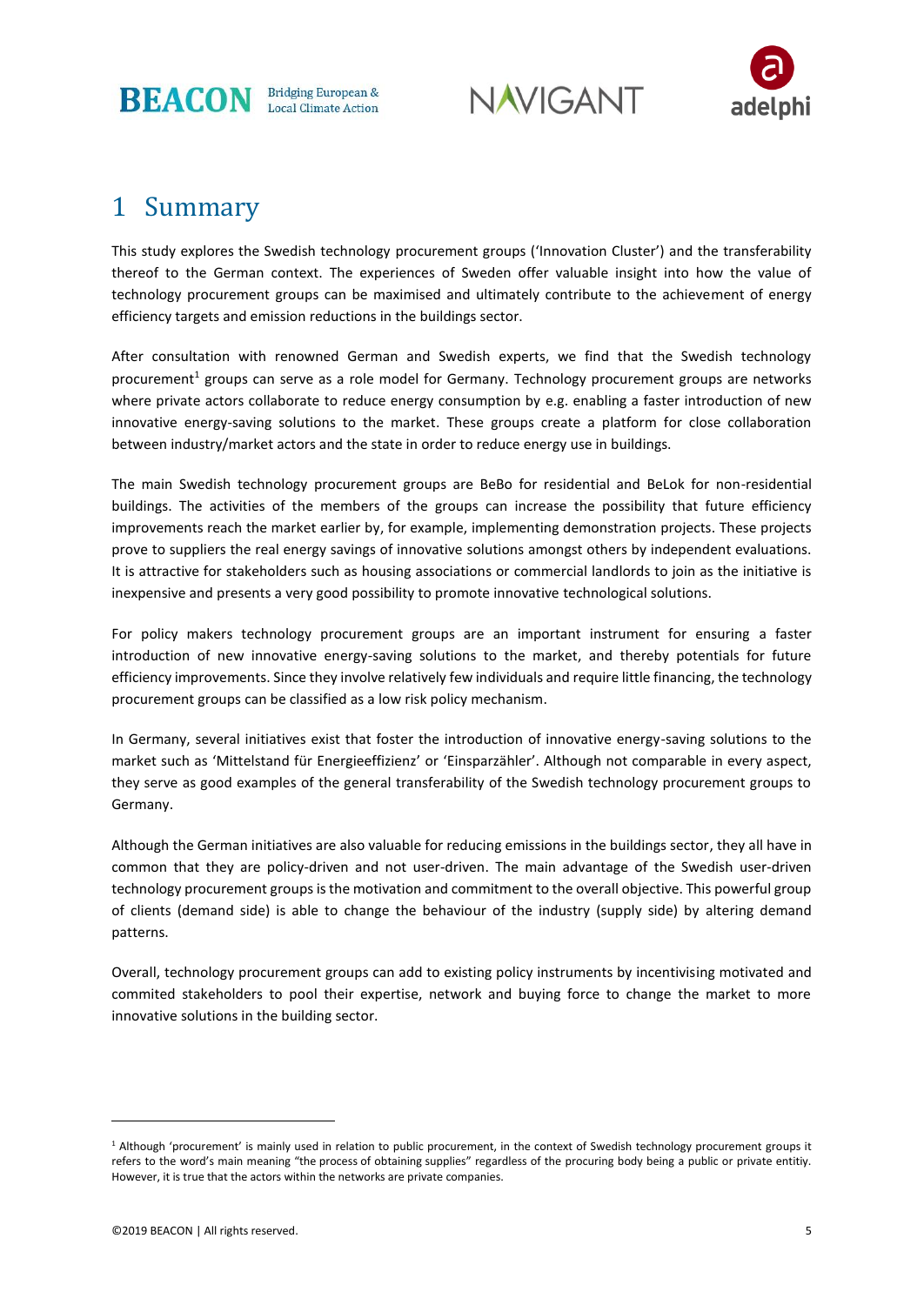

**NAVIGANT** 



### 1 Summary

This study explores the Swedish technology procurement groups ('Innovation Cluster') and the transferability thereof to the German context. The experiences of Sweden offer valuable insight into how the value of technology procurement groups can be maximised and ultimately contribute to the achievement of energy efficiency targets and emission reductions in the buildings sector.

After consultation with renowned German and Swedish experts, we find that the Swedish technology procurement<sup>1</sup> groups can serve as a role model for Germany. Technology procurement groups are networks where private actors collaborate to reduce energy consumption by e.g. enabling a faster introduction of new innovative energy-saving solutions to the market. These groups create a platform for close collaboration between industry/market actors and the state in order to reduce energy use in buildings.

The main Swedish technology procurement groups are BeBo for residential and BeLok for non-residential buildings. The activities of the members of the groups can increase the possibility that future efficiency improvements reach the market earlier by, for example, implementing demonstration projects. These projects prove to suppliers the real energy savings of innovative solutions amongst others by independent evaluations. It is attractive for stakeholders such as housing associations or commercial landlords to join as the initiative is inexpensive and presents a very good possibility to promote innovative technological solutions.

For policy makers technology procurement groups are an important instrument for ensuring a faster introduction of new innovative energy-saving solutions to the market, and thereby potentials for future efficiency improvements. Since they involve relatively few individuals and require little financing, the technology procurement groups can be classified as a low risk policy mechanism.

In Germany, several initiatives exist that foster the introduction of innovative energy-saving solutions to the market such as 'Mittelstand für Energieeffizienz' or 'Einsparzähler'. Although not comparable in every aspect, they serve as good examples of the general transferability of the Swedish technology procurement groups to Germany.

Although the German initiatives are also valuable for reducing emissions in the buildings sector, they all have in common that they are policy-driven and not user-driven. The main advantage of the Swedish user-driven technology procurement groups is the motivation and commitment to the overall objective. This powerful group of clients (demand side) is able to change the behaviour of the industry (supply side) by altering demand patterns.

Overall, technology procurement groups can add to existing policy instruments by incentivising motivated and commited stakeholders to pool their expertise, network and buying force to change the market to more innovative solutions in the building sector.

<sup>1</sup> Although 'procurement' is mainly used in relation to public procurement, in the context of Swedish technology procurement groups it refers to the word's main meaning "the [process](https://dictionary.cambridge.org/dictionary/english/process) of obtaining [supplies](https://dictionary.cambridge.org/dictionary/english/supplies)" regardless of the procuring body being a public or private entitiy. However, it is true that the actors within the networks are private companies.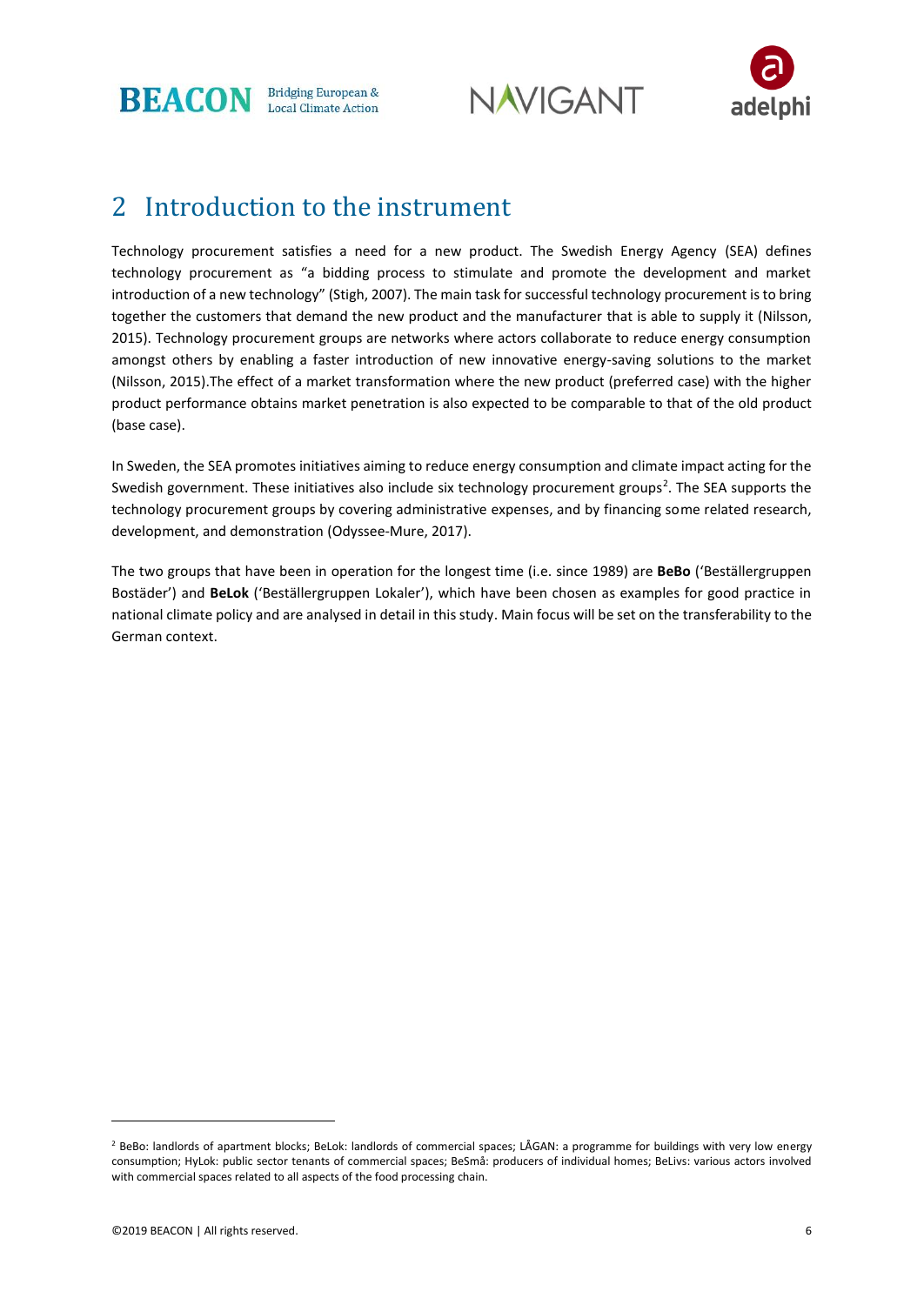**BEACON** Bridging European & Local Climate Action





### 2 Introduction to the instrument

Technology procurement satisfies a need for a new product. The Swedish Energy Agency (SEA) defines technology procurement as "a bidding process to stimulate and promote the development and market introduction of a new technology" (Stigh, 2007). The main task for successful technology procurement is to bring together the customers that demand the new product and the manufacturer that is able to supply it (Nilsson, 2015). Technology procurement groups are networks where actors collaborate to reduce energy consumption amongst others by enabling a faster introduction of new innovative energy-saving solutions to the market (Nilsson, 2015).The effect of a market transformation where the new product (preferred case) with the higher product performance obtains market penetration is also expected to be comparable to that of the old product (base case).

In Sweden, the SEA promotes initiatives aiming to reduce energy consumption and climate impact acting for the Swedish government. These initiatives also include six technology procurement groups<sup>2</sup>. The SEA supports the technology procurement groups by covering administrative expenses, and by financing some related research, development, and demonstration (Odyssee-Mure, 2017).

The two groups that have been in operation for the longest time (i.e. since 1989) are **BeBo** ('Beställergruppen Bostäder') and **BeLok** ('Beställergruppen Lokaler'), which have been chosen as examples for good practice in national climate policy and are analysed in detail in this study. Main focus will be set on the transferability to the German context.

<sup>&</sup>lt;sup>2</sup> BeBo: landlords of apartment blocks; BeLok: landlords of commercial spaces; LÅGAN: a programme for buildings with very low energy consumption; HyLok: public sector tenants of commercial spaces; BeSmå: producers of individual homes; BeLivs: various actors involved with commercial spaces related to all aspects of the food processing chain.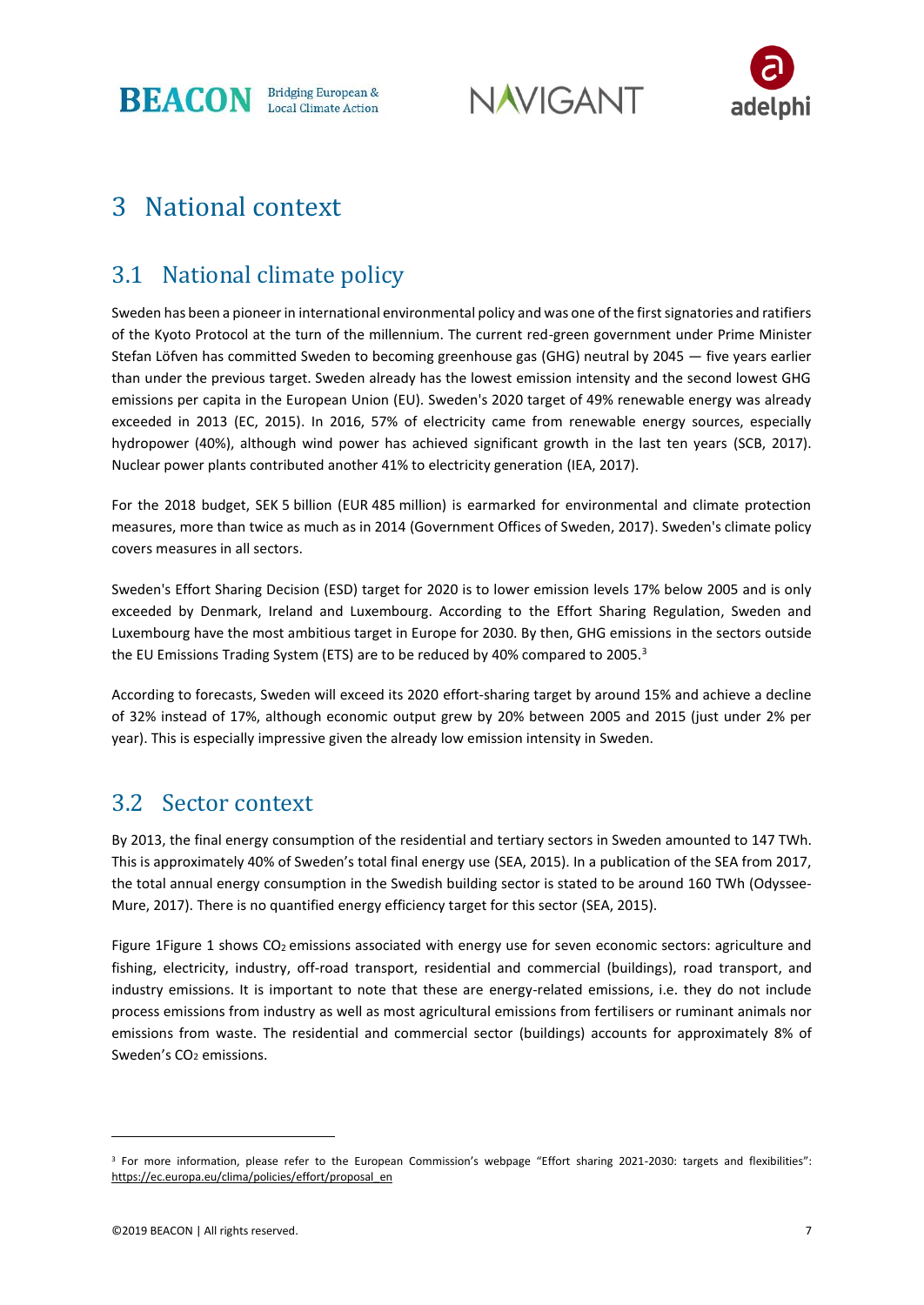**BEACON** Bridging European &

**NAVIGANT** 



## 3 National context

### 3.1 National climate policy

Sweden has been a pioneer in international environmental policy and was one of the first signatories and ratifiers of the Kyoto Protocol at the turn of the millennium. The current red-green government under Prime Minister Stefan Löfven has committed Sweden to becoming greenhouse gas (GHG) neutral by 2045 — five years earlier than under the previous target. Sweden already has the lowest emission intensity and the second lowest GHG emissions per capita in the European Union (EU). Sweden's 2020 target of 49% renewable energy was already exceeded in 2013 (EC, 2015). In 2016, 57% of electricity came from renewable energy sources, especially hydropower (40%), although wind power has achieved significant growth in the last ten years (SCB, 2017). Nuclear power plants contributed another 41% to electricity generation (IEA, 2017).

For the 2018 budget, SEK 5 billion (EUR 485 million) is earmarked for environmental and climate protection measures, more than twice as much as in 2014 (Government Offices of Sweden, 2017). Sweden's climate policy covers measures in all sectors.

Sweden's Effort Sharing Decision (ESD) target for 2020 is to lower emission levels 17% below 2005 and is only exceeded by Denmark, Ireland and Luxembourg. According to the Effort Sharing Regulation, Sweden and Luxembourg have the most ambitious target in Europe for 2030. By then, GHG emissions in the sectors outside the EU Emissions Trading System (ETS) are to be reduced by 40% compared to 2005.<sup>3</sup>

According to forecasts, Sweden will exceed its 2020 effort-sharing target by around 15% and achieve a decline of 32% instead of 17%, although economic output grew by 20% between 2005 and 2015 (just under 2% per year). This is especially impressive given the already low emission intensity in Sweden.

#### 3.2 Sector context

By 2013, the final energy consumption of the residential and tertiary sectors in Sweden amounted to 147 TWh. This is approximately 40% of Sweden's total final energy use (SEA, 2015). In a publication of the SEA from 2017, the total annual energy consumption in the Swedish building sector is stated to be around 160 TWh (Odyssee-Mure, 2017). There is no quantified energy efficiency target for this sector (SEA, 2015).

Figure [1Figure 1](#page-8-0) shows CO<sub>2</sub> emissions associated with energy use for seven economic sectors: agriculture and fishing, electricity, industry, off-road transport, residential and commercial (buildings), road transport, and industry emissions. It is important to note that these are energy-related emissions, i.e. they do not include process emissions from industry as well as most agricultural emissions from fertilisers or ruminant animals nor emissions from waste. The residential and commercial sector (buildings) accounts for approximately 8% of Sweden's CO<sub>2</sub> emissions.

<sup>3</sup> For more information, please refer to the European Commission's webpage "Effort sharing 2021-2030: targets and flexibilities": [https://ec.europa.eu/clima/policies/effort/proposal\\_en](https://ec.europa.eu/clima/policies/effort/proposal_en)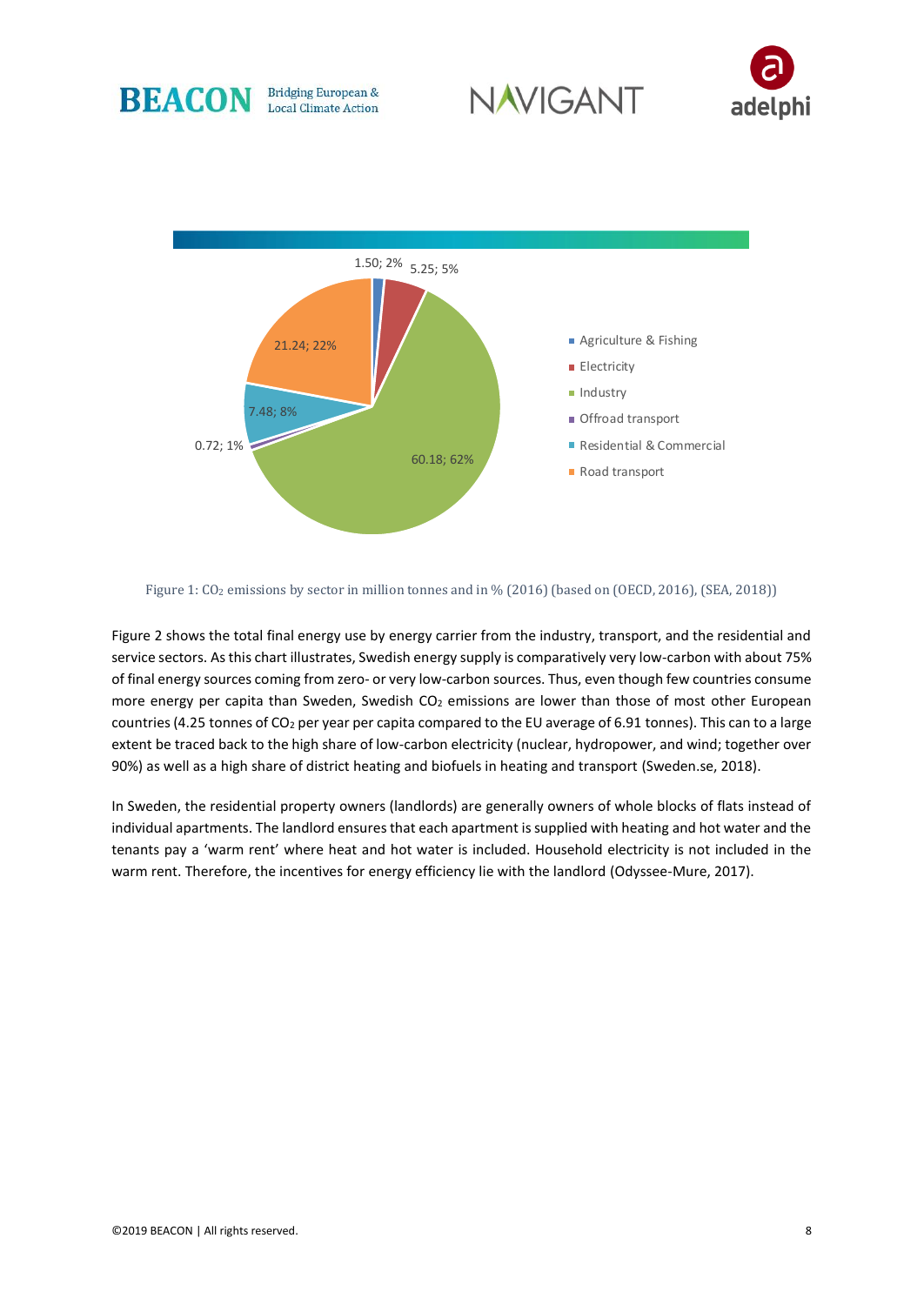





<span id="page-8-0"></span>Figure 1: CO<sub>2</sub> emissions by sector in million tonnes and in % (2016) (based on (OECD, 2016), (SEA, 2018))

[Figure 2](#page-9-0) shows the total final energy use by energy carrier from the industry, transport, and the residential and service sectors. As this chart illustrates, Swedish energy supply is comparatively very low-carbon with about 75% of final energy sources coming from zero- or very low-carbon sources. Thus, even though few countries consume more energy per capita than Sweden, Swedish CO<sub>2</sub> emissions are lower than those of most other European countries (4.25 tonnes of  $CO<sub>2</sub>$  per year per capita compared to the EU average of 6.91 tonnes). This can to a large extent be traced back to the high share of low-carbon electricity (nuclear, hydropower, and wind; together over 90%) as well as a high share of district heating and biofuels in heating and transport (Sweden.se, 2018).

In Sweden, the residential property owners (landlords) are generally owners of whole blocks of flats instead of individual apartments. The landlord ensures that each apartment is supplied with heating and hot water and the tenants pay a 'warm rent' where heat and hot water is included. Household electricity is not included in the warm rent. Therefore, the incentives for energy efficiency lie with the landlord (Odyssee-Mure, 2017).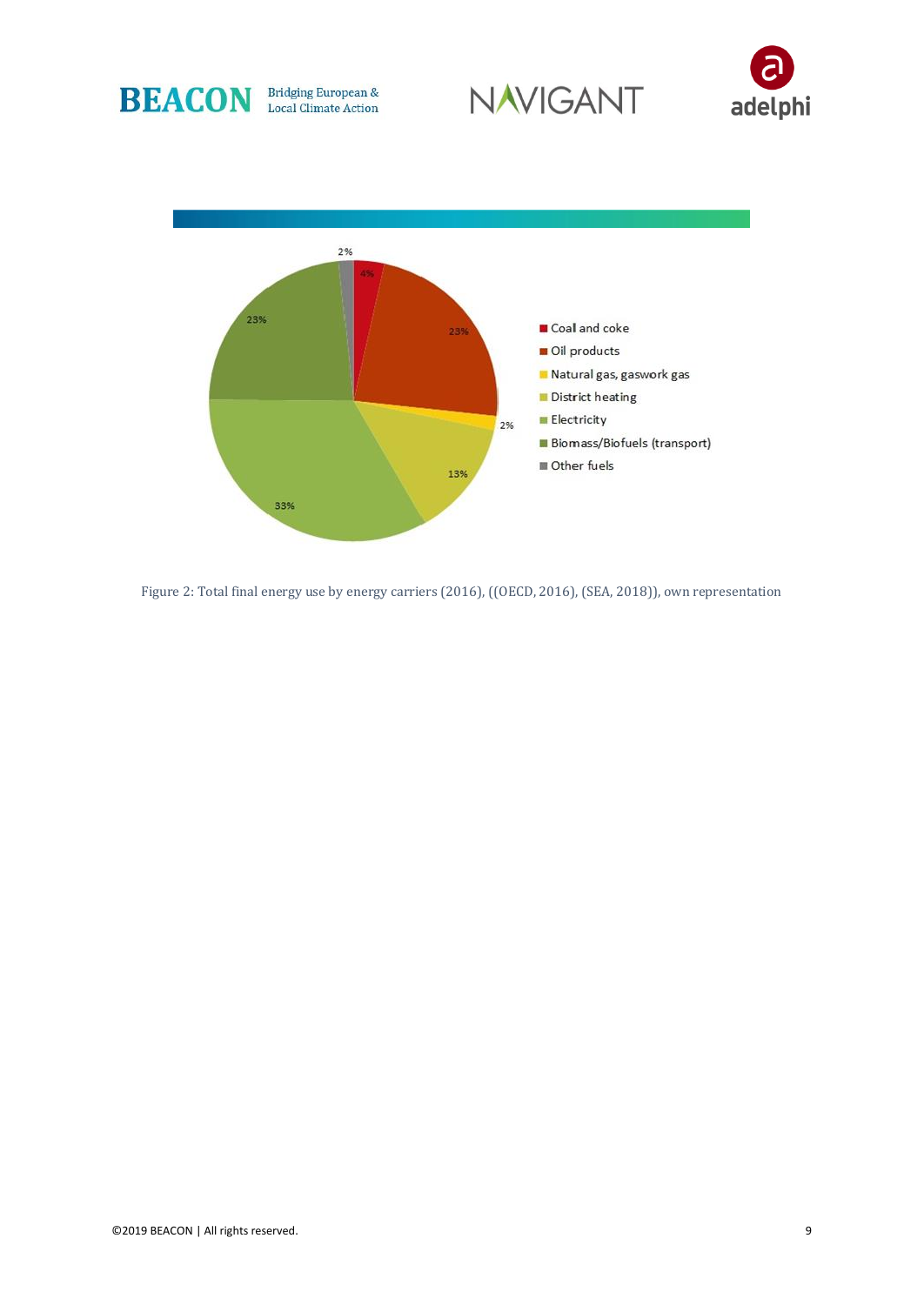







<span id="page-9-0"></span>Figure 2: Total final energy use by energy carriers (2016), ((OECD, 2016), (SEA, 2018)), own representation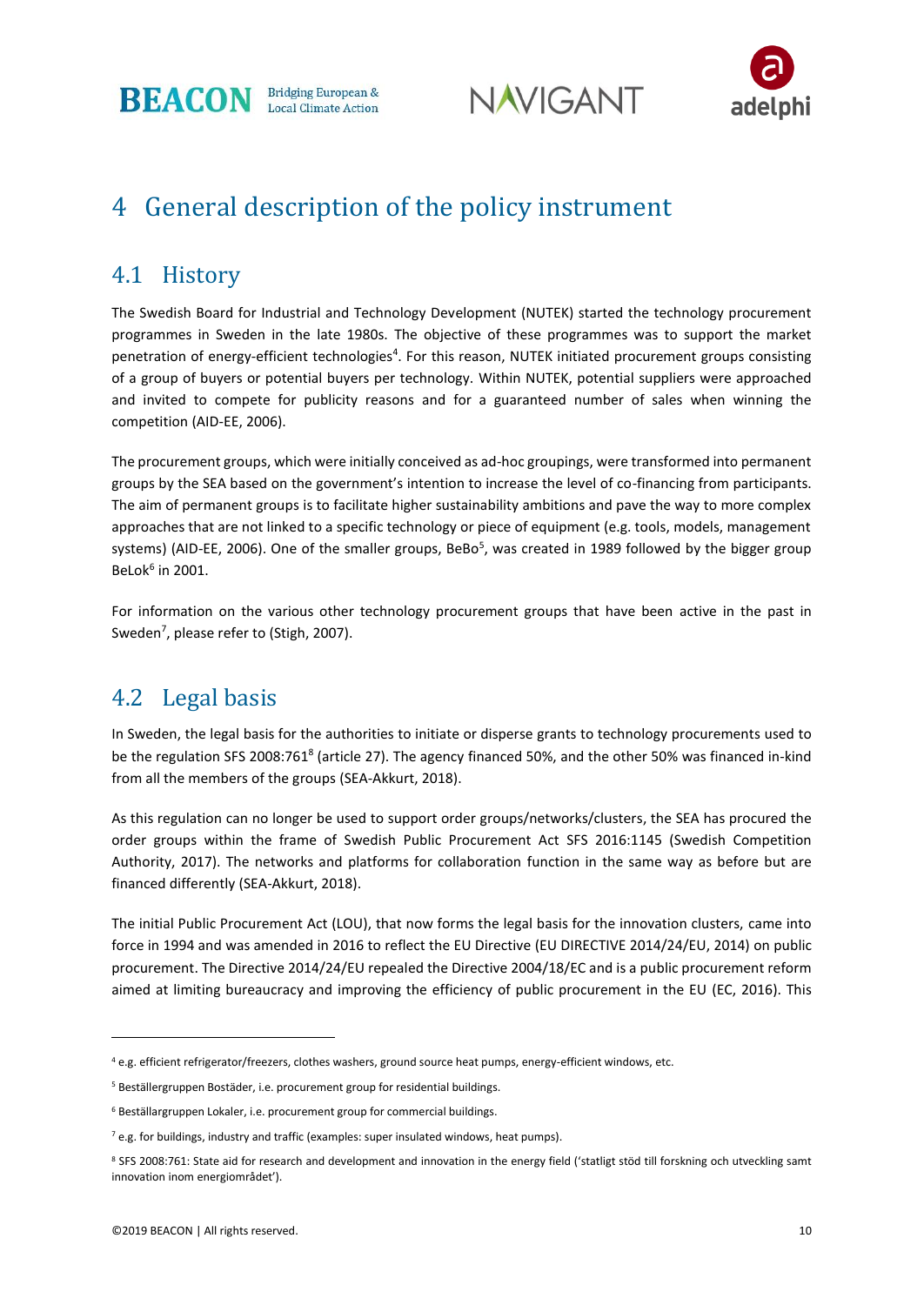





## 4 General description of the policy instrument

#### 4.1 History

The Swedish Board for Industrial and Technology Development (NUTEK) started the technology procurement programmes in Sweden in the late 1980s. The objective of these programmes was to support the market penetration of energy-efficient technologies<sup>4</sup>. For this reason, NUTEK initiated procurement groups consisting of a group of buyers or potential buyers per technology. Within NUTEK, potential suppliers were approached and invited to compete for publicity reasons and for a guaranteed number of sales when winning the competition (AID-EE, 2006).

The procurement groups, which were initially conceived as ad-hoc groupings, were transformed into permanent groups by the SEA based on the government's intention to increase the level of co-financing from participants. The aim of permanent groups is to facilitate higher sustainability ambitions and pave the way to more complex approaches that are not linked to a specific technology or piece of equipment (e.g. tools, models, management systems) (AID-EE, 2006). One of the smaller groups, BeBo<sup>5</sup>, was created in 1989 followed by the bigger group BeLok $<sup>6</sup>$  in 2001.</sup>

For information on the various other technology procurement groups that have been active in the past in Sweden<sup>7</sup>, please refer to (Stigh, 2007).

#### 4.2 Legal basis

In Sweden, the legal basis for the authorities to initiate or disperse grants to technology procurements used to be the regulation SFS 2008:761<sup>8</sup> (article 27). The agency financed 50%, and the other 50% was financed in-kind from all the members of the groups (SEA-Akkurt, 2018).

As this regulation can no longer be used to support order groups/networks/clusters, the SEA has procured the order groups within the frame of Swedish Public Procurement Act SFS 2016:1145 (Swedish Competition Authority, 2017). The networks and platforms for collaboration function in the same way as before but are financed differently (SEA-Akkurt, 2018).

The initial Public Procurement Act (LOU), that now forms the legal basis for the innovation clusters, came into force in 1994 and was amended in 2016 to reflect the EU Directive (EU DIRECTIVE 2014/24/EU, 2014) on public procurement. The Directive 2014/24/EU repealed the Directive 2004/18/EC and is a public procurement reform aimed at limiting bureaucracy and improving the efficiency of public procurement in the EU (EC, 2016). This

<sup>4</sup> e.g. efficient refrigerator/freezers, clothes washers, ground source heat pumps, energy-efficient windows, etc.

<sup>5</sup> Beställergruppen Bostäder, i.e. procurement group for residential buildings.

<sup>6</sup> Beställargruppen Lokaler, i.e. procurement group for commercial buildings.

 $7$  e.g. for buildings, industry and traffic (examples: super insulated windows, heat pumps).

<sup>8</sup> SFS 2008:761: State aid for research and development and innovation in the energy field ('statligt stöd till forskning och utveckling samt innovation inom energiområdet').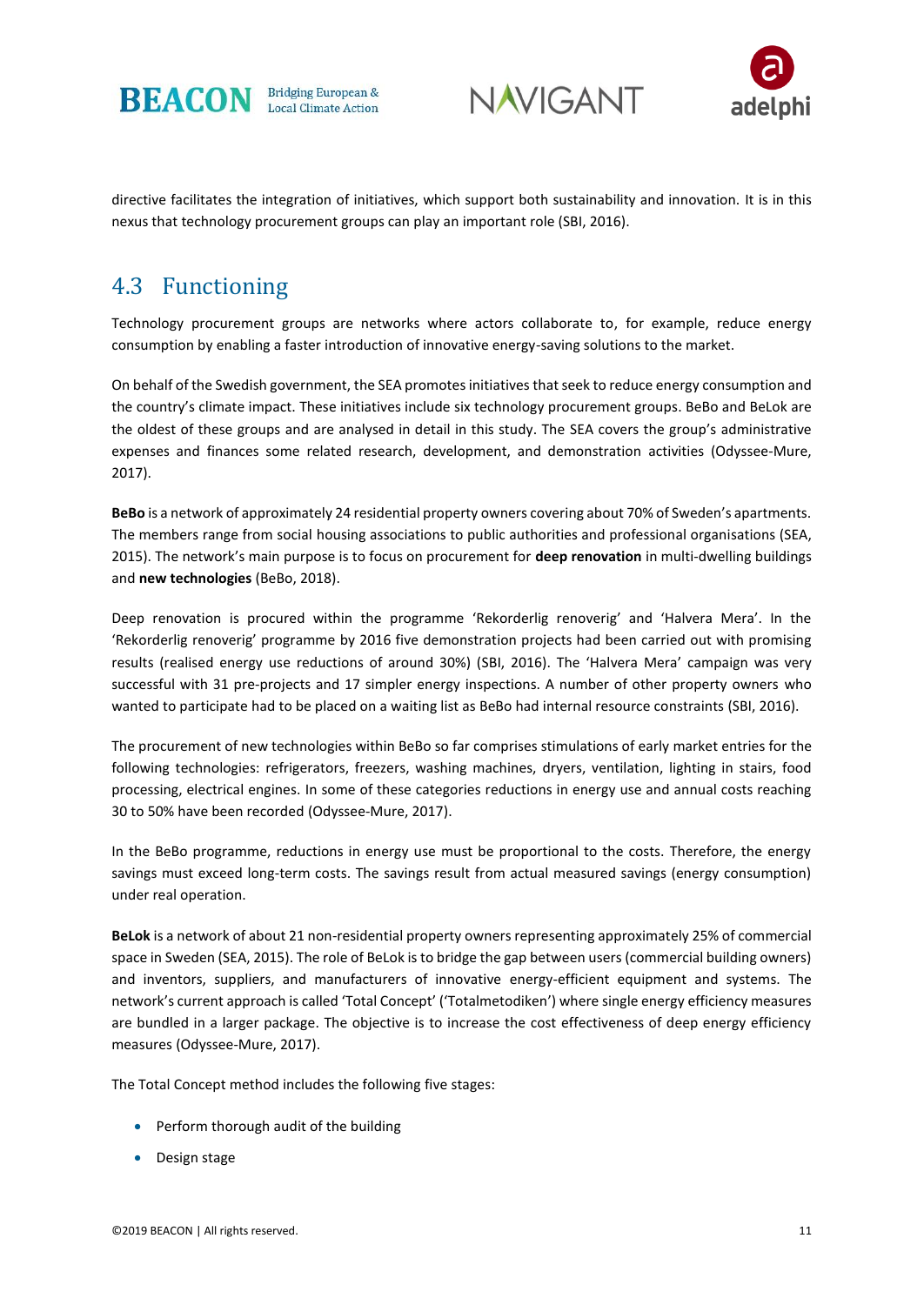





directive facilitates the integration of initiatives, which support both sustainability and innovation. It is in this nexus that technology procurement groups can play an important role (SBI, 2016).

#### 4.3 Functioning

Technology procurement groups are networks where actors collaborate to, for example, reduce energy consumption by enabling a faster introduction of innovative energy-saving solutions to the market.

On behalf of the Swedish government, the SEA promotes initiatives that seek to reduce energy consumption and the country's climate impact. These initiatives include six technology procurement groups. BeBo and BeLok are the oldest of these groups and are analysed in detail in this study. The SEA covers the group's administrative expenses and finances some related research, development, and demonstration activities (Odyssee-Mure, 2017).

**BeBo** is a network of approximately 24 residential property owners covering about 70% of Sweden's apartments. The members range from social housing associations to public authorities and professional organisations (SEA, 2015). The network's main purpose is to focus on procurement for **deep renovation** in multi-dwelling buildings and **new technologies** (BeBo, 2018).

Deep renovation is procured within the programme 'Rekorderlig renoverig' and 'Halvera Mera'. In the 'Rekorderlig renoverig' programme by 2016 five demonstration projects had been carried out with promising results (realised energy use reductions of around 30%) (SBI, 2016). The 'Halvera Mera' campaign was very successful with 31 pre-projects and 17 simpler energy inspections. A number of other property owners who wanted to participate had to be placed on a waiting list as BeBo had internal resource constraints (SBI, 2016).

The procurement of new technologies within BeBo so far comprises stimulations of early market entries for the following technologies: refrigerators, freezers, washing machines, dryers, ventilation, lighting in stairs, food processing, electrical engines. In some of these categories reductions in energy use and annual costs reaching 30 to 50% have been recorded (Odyssee-Mure, 2017).

In the BeBo programme, reductions in energy use must be proportional to the costs. Therefore, the energy savings must exceed long-term costs. The savings result from actual measured savings (energy consumption) under real operation.

**BeLok** is a network of about 21 non-residential property owners representing approximately 25% of commercial space in Sweden (SEA, 2015). The role of BeLok is to bridge the gap between users (commercial building owners) and inventors, suppliers, and manufacturers of innovative energy-efficient equipment and systems. The network's current approach is called 'Total Concept' ('Totalmetodiken') where single energy efficiency measures are bundled in a larger package. The objective is to increase the cost effectiveness of deep energy efficiency measures (Odyssee-Mure, 2017).

The Total Concept method includes the following five stages:

- Perform thorough audit of the building
- Design stage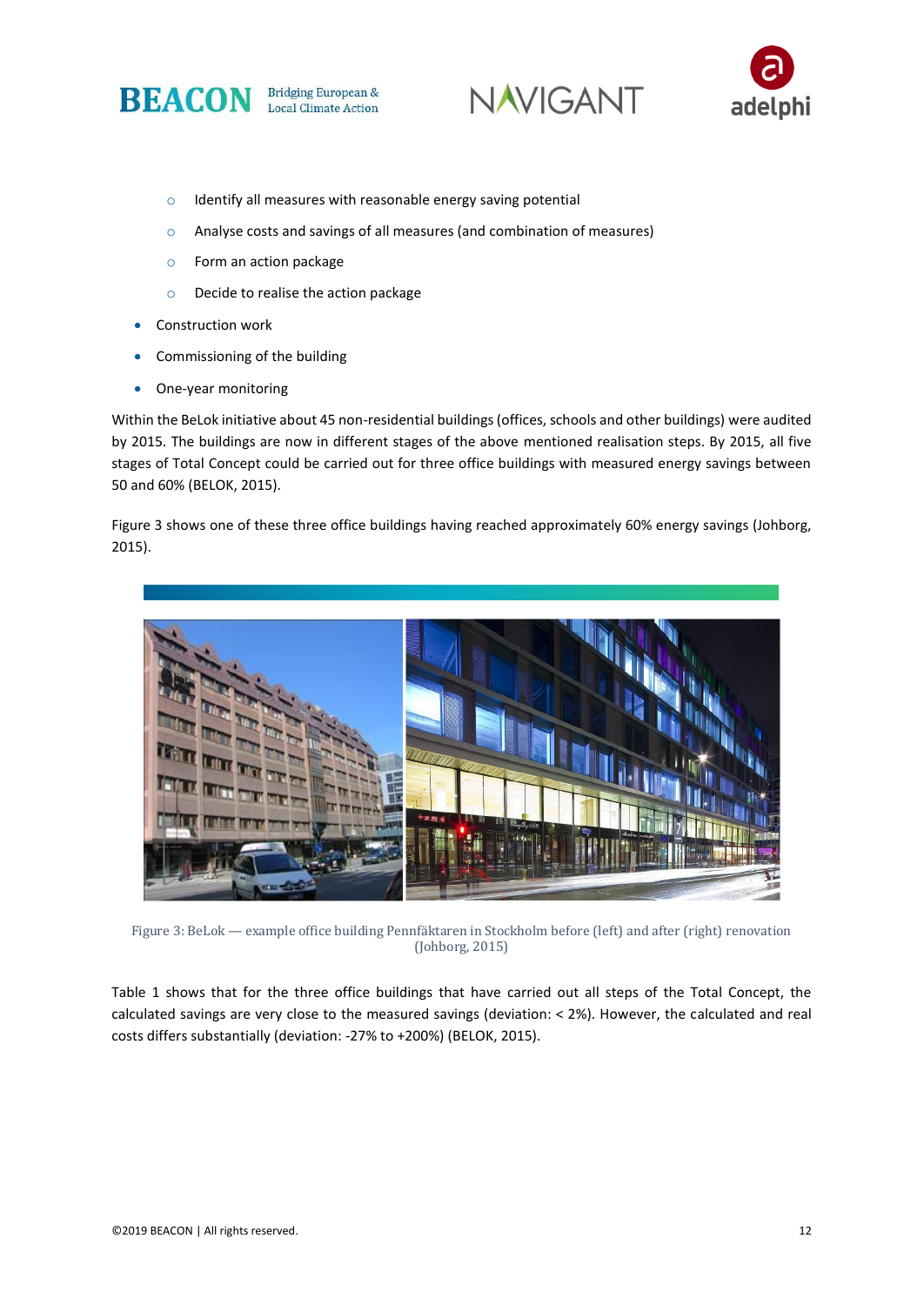





- o Identify all measures with reasonable energy saving potential
- o Analyse costs and savings of all measures (and combination of measures)
- o Form an action package
- o Decide to realise the action package
- Construction work
- Commissioning of the building
- One-year monitoring

Within the BeLok initiative about 45 non-residential buildings (offices, schools and other buildings) were audited by 2015. The buildings are now in different stages of the above mentioned realisation steps. By 2015, all five stages of Total Concept could be carried out for three office buildings with measured energy savings between 50 and 60% (BELOK, 2015).

Figure 3 shows one of these three office buildings having reached approximately 60% energy savings (Johborg, 2015).



Figure 3: BeLok — example office building Pennfäktaren in Stockholm before (left) and after (right) renovation (Johborg, 2015)

[Table 1](#page-13-0) shows that for the three office buildings that have carried out all steps of the Total Concept, the calculated savings are very close to the measured savings (deviation: < 2%). However, the calculated and real costs differs substantially (deviation: -27% to +200%) (BELOK, 2015).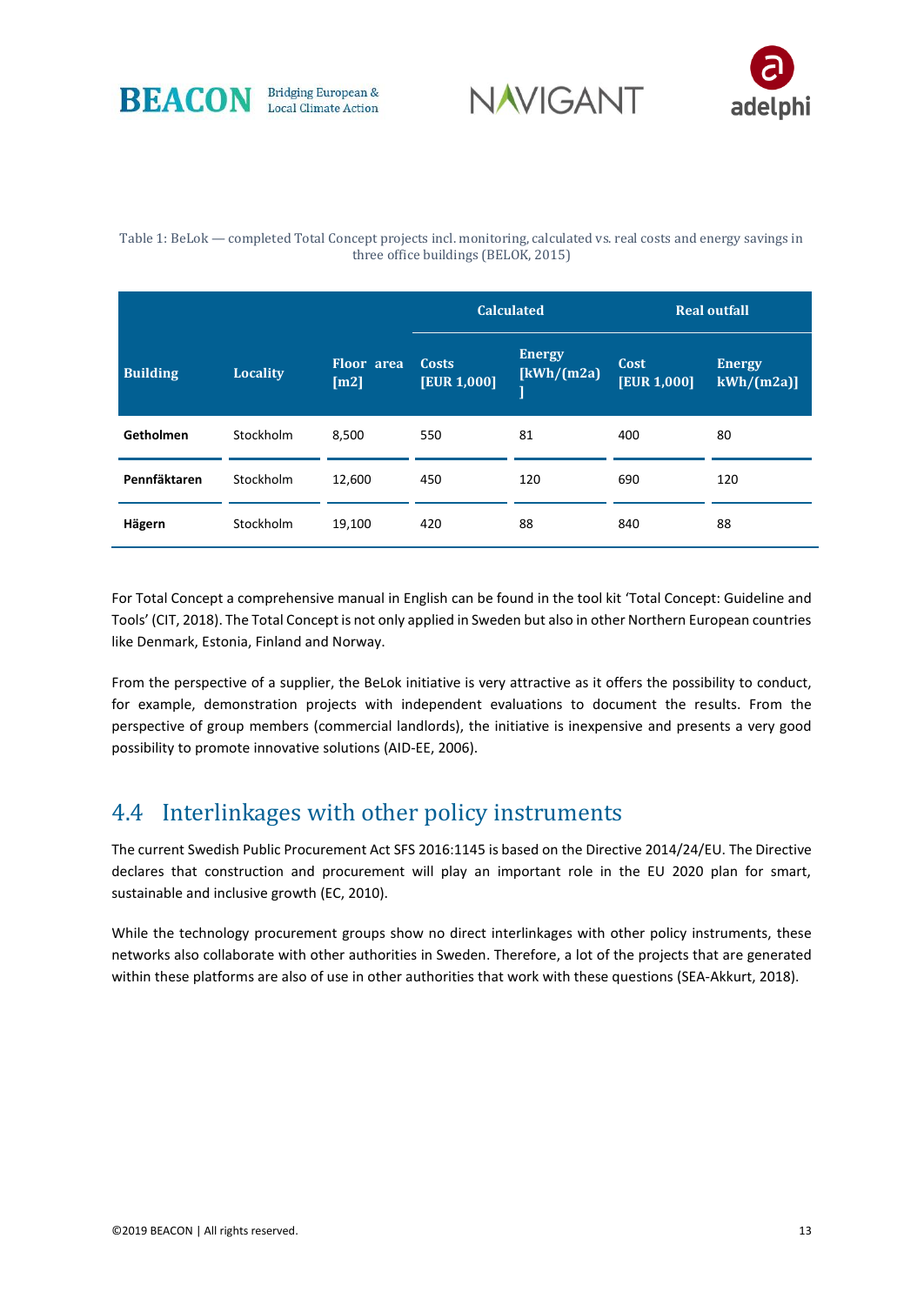





#### <span id="page-13-0"></span>Table 1: BeLok — completed Total Concept projects incl. monitoring, calculated vs. real costs and energy savings in three office buildings (BELOK, 2015)

|                 |                 |                           |                             | <b>Calculated</b>            | <b>Real outfall</b>        |                             |  |
|-----------------|-----------------|---------------------------|-----------------------------|------------------------------|----------------------------|-----------------------------|--|
| <b>Building</b> | <b>Locality</b> | <b>Floor</b> area<br>[m2] | <b>Costs</b><br>[EUR 1,000] | <b>Energy</b><br>[kWh/(m2a)] | Cost<br><b>[EUR 1,000]</b> | <b>Energy</b><br>kWh/(m2a)] |  |
| Getholmen       | Stockholm       | 8,500                     | 550                         | 81                           | 400                        | 80                          |  |
| Pennfäktaren    | Stockholm       | 12,600                    | 450                         | 120                          | 690                        | 120                         |  |
| Hägern          | Stockholm       | 19,100                    | 420                         | 88                           | 840                        | 88                          |  |

For Total Concept a comprehensive manual in English can be found in the tool kit 'Total Concept: Guideline and Tools' (CIT, 2018). The Total Concept is not only applied in Sweden but also in other Northern European countries like Denmark, Estonia, Finland and Norway.

From the perspective of a supplier, the BeLok initiative is very attractive as it offers the possibility to conduct, for example, demonstration projects with independent evaluations to document the results. From the perspective of group members (commercial landlords), the initiative is inexpensive and presents a very good possibility to promote innovative solutions (AID-EE, 2006).

#### 4.4 Interlinkages with other policy instruments

The current Swedish Public Procurement Act SFS 2016:1145 is based on the Directive 2014/24/EU. The Directive declares that construction and procurement will play an important role in the EU 2020 plan for smart, sustainable and inclusive growth (EC, 2010).

While the technology procurement groups show no direct interlinkages with other policy instruments, these networks also collaborate with other authorities in Sweden. Therefore, a lot of the projects that are generated within these platforms are also of use in other authorities that work with these questions (SEA-Akkurt, 2018).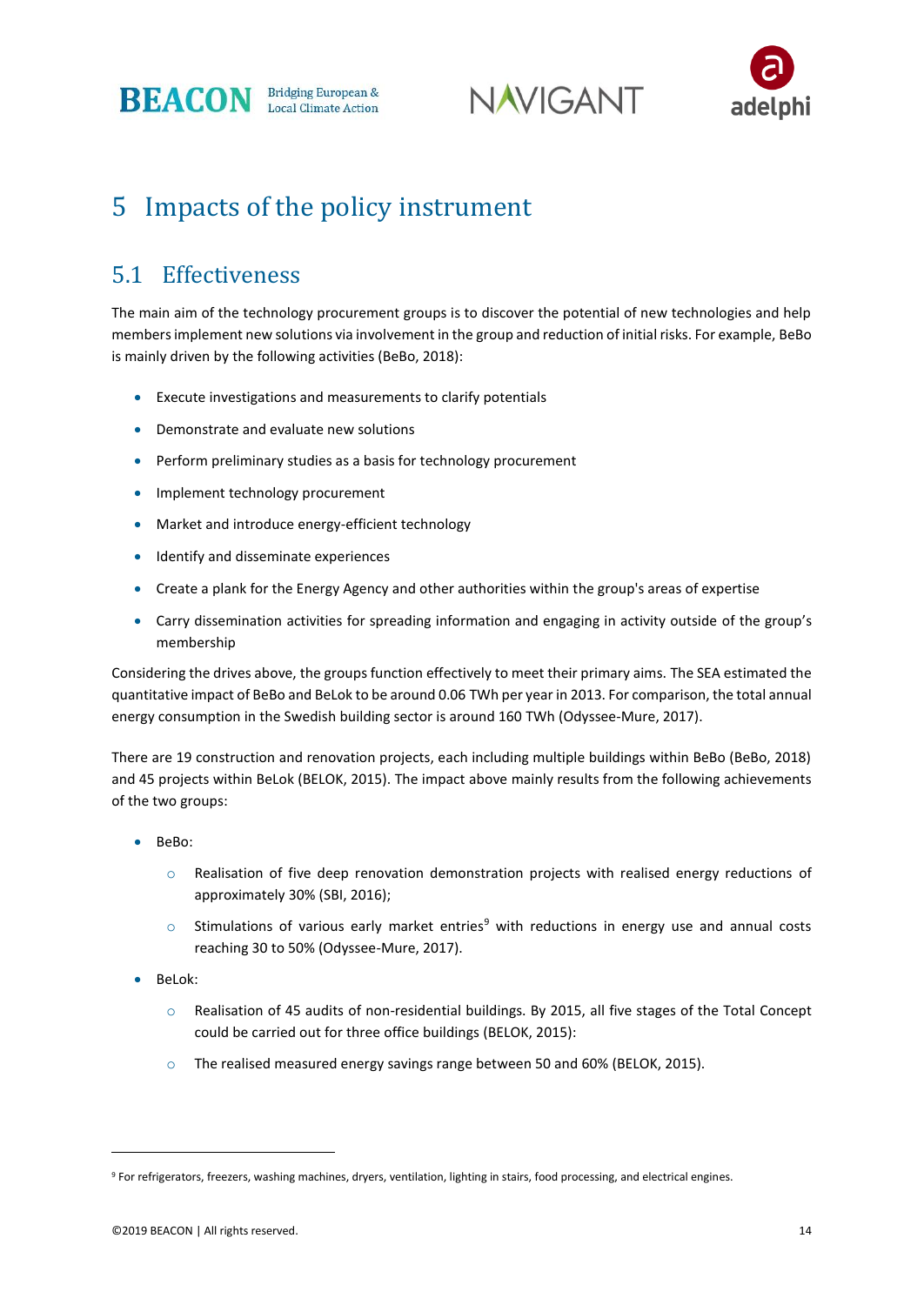**BEACON** Bridging European &





## 5 Impacts of the policy instrument

#### 5.1 Effectiveness

The main aim of the technology procurement groups is to discover the potential of new technologies and help members implement new solutions via involvement in the group and reduction of initial risks. For example, BeBo is mainly driven by the following activities (BeBo, 2018):

- Execute investigations and measurements to clarify potentials
- Demonstrate and evaluate new solutions
- Perform preliminary studies as a basis for technology procurement
- Implement technology procurement
- Market and introduce energy-efficient technology
- Identify and disseminate experiences
- Create a plank for the Energy Agency and other authorities within the group's areas of expertise
- Carry dissemination activities for spreading information and engaging in activity outside of the group's membership

Considering the drives above, the groups function effectively to meet their primary aims. The SEA estimated the quantitative impact of BeBo and BeLok to be around 0.06 TWh per year in 2013. For comparison, the total annual energy consumption in the Swedish building sector is around 160 TWh (Odyssee-Mure, 2017).

There are 19 construction and renovation projects, each including multiple buildings within BeBo (BeBo, 2018) and 45 projects within BeLok (BELOK, 2015). The impact above mainly results from the following achievements of the two groups:

- BeBo:
	- $\circ$  Realisation of five deep renovation demonstration projects with realised energy reductions of approximately 30% (SBI, 2016);
	- $\circ$  Stimulations of various early market entries<sup>9</sup> with reductions in energy use and annual costs reaching 30 to 50% (Odyssee-Mure, 2017).
- BeLok:

**.** 

- o Realisation of 45 audits of non-residential buildings. By 2015, all five stages of the Total Concept could be carried out for three office buildings (BELOK, 2015):
- o The realised measured energy savings range between 50 and 60% (BELOK, 2015).

<sup>9</sup> For refrigerators, freezers, washing machines, dryers, ventilation, lighting in stairs, food processing, and electrical engines.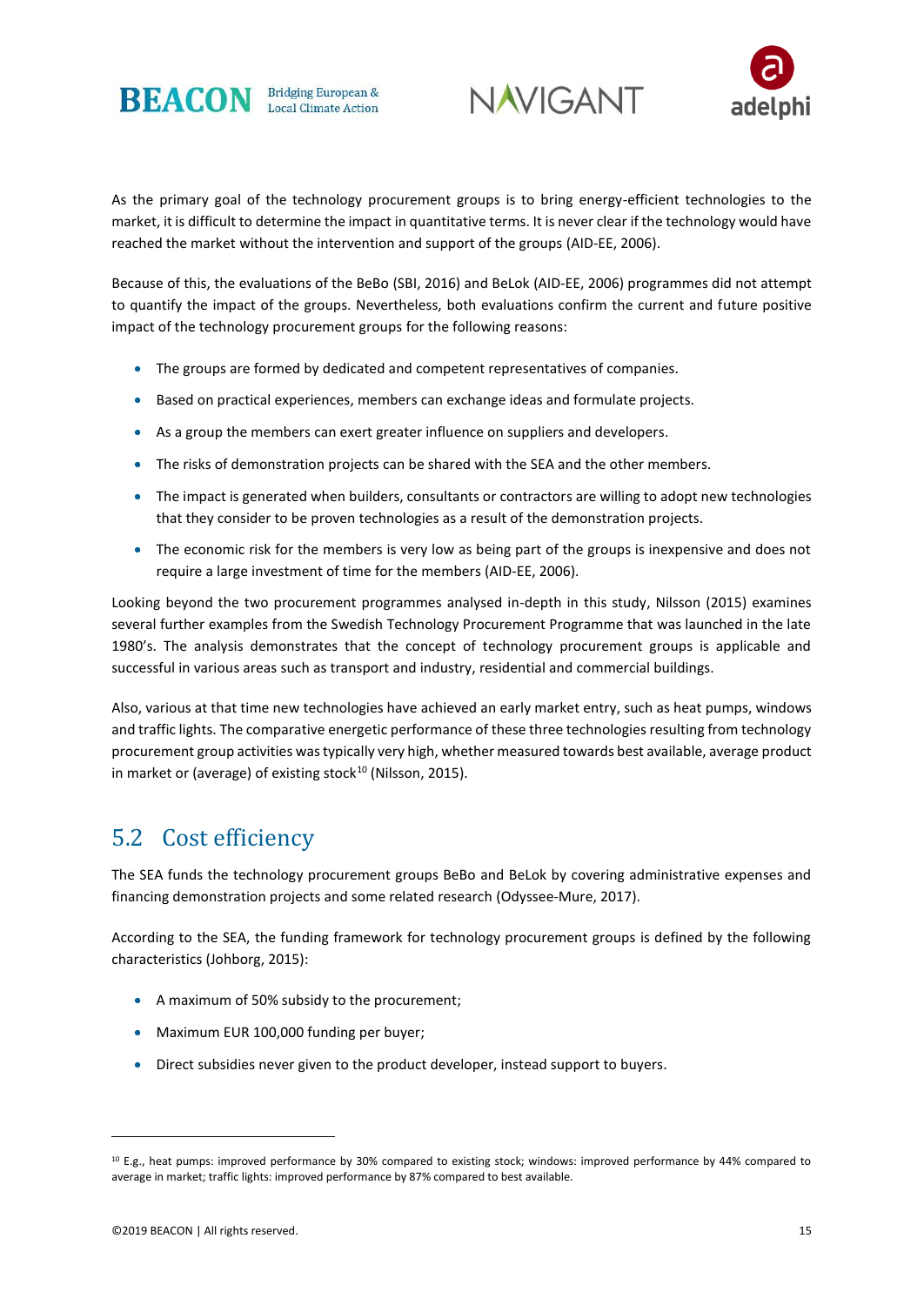





As the primary goal of the technology procurement groups is to bring energy-efficient technologies to the market, it is difficult to determine the impact in quantitative terms. It is never clear if the technology would have reached the market without the intervention and support of the groups (AID-EE, 2006).

Because of this, the evaluations of the BeBo (SBI, 2016) and BeLok (AID-EE, 2006) programmes did not attempt to quantify the impact of the groups. Nevertheless, both evaluations confirm the current and future positive impact of the technology procurement groups for the following reasons:

- The groups are formed by dedicated and competent representatives of companies.
- Based on practical experiences, members can exchange ideas and formulate projects.
- As a group the members can exert greater influence on suppliers and developers.
- The risks of demonstration projects can be shared with the SEA and the other members.
- The impact is generated when builders, consultants or contractors are willing to adopt new technologies that they consider to be proven technologies as a result of the demonstration projects.
- The economic risk for the members is very low as being part of the groups is inexpensive and does not require a large investment of time for the members (AID-EE, 2006).

Looking beyond the two procurement programmes analysed in-depth in this study, Nilsson (2015) examines several further examples from the Swedish Technology Procurement Programme that was launched in the late 1980's. The analysis demonstrates that the concept of technology procurement groups is applicable and successful in various areas such as transport and industry, residential and commercial buildings.

Also, various at that time new technologies have achieved an early market entry, such as heat pumps, windows and traffic lights. The comparative energetic performance of these three technologies resulting from technology procurement group activities was typically very high, whether measured towards best available, average product in market or (average) of existing stock $10$  (Nilsson, 2015).

#### 5.2 Cost efficiency

The SEA funds the technology procurement groups BeBo and BeLok by covering administrative expenses and financing demonstration projects and some related research (Odyssee-Mure, 2017).

According to the SEA, the funding framework for technology procurement groups is defined by the following characteristics (Johborg, 2015):

- A maximum of 50% subsidy to the procurement;
- Maximum EUR 100,000 funding per buyer;
- Direct subsidies never given to the product developer, instead support to buyers.

<sup>10</sup> E.g., heat pumps: improved performance by 30% compared to existing stock; windows: improved performance by 44% compared to average in market; traffic lights: improved performance by 87% compared to best available.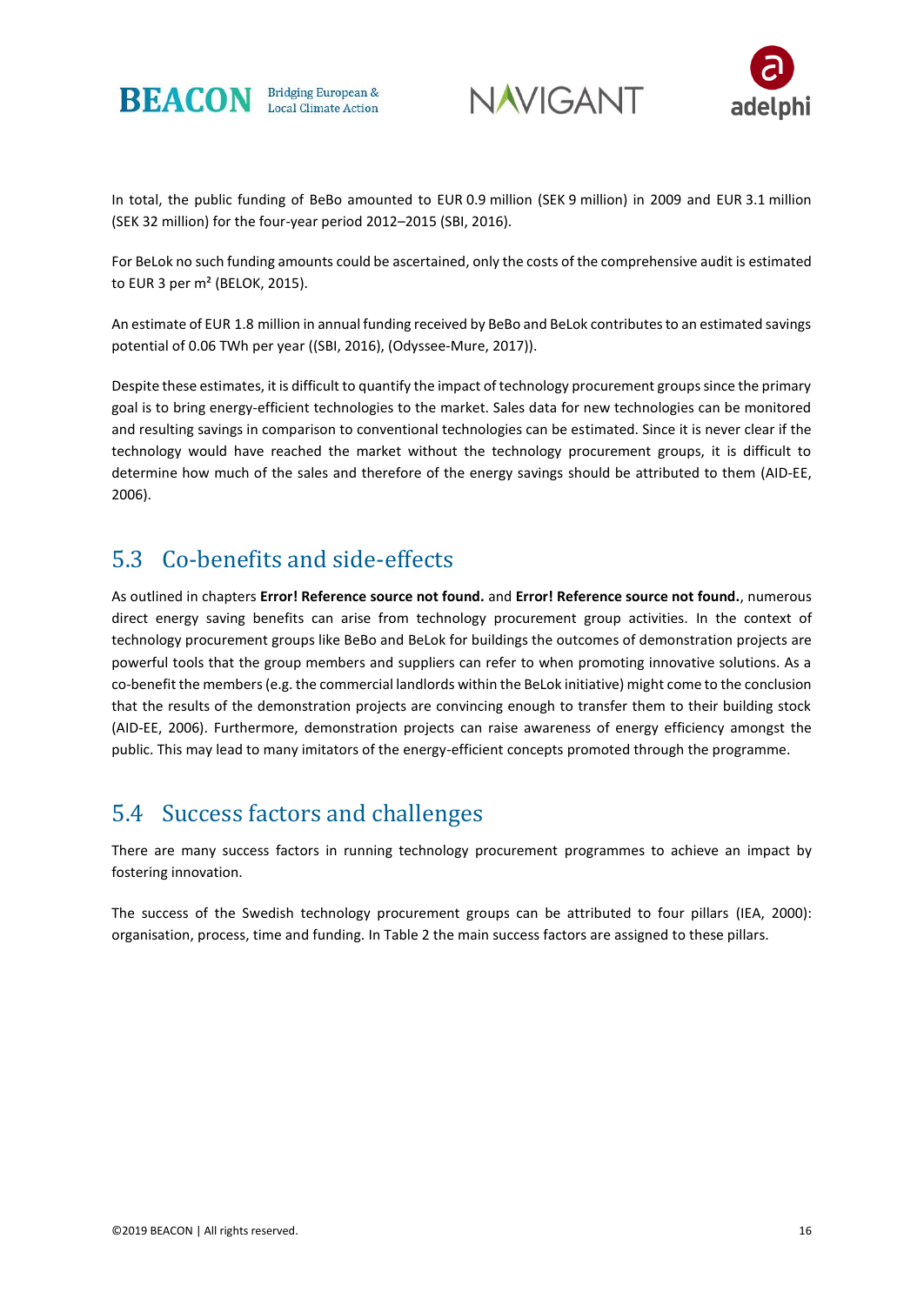





In total, the public funding of BeBo amounted to EUR 0.9 million (SEK 9 million) in 2009 and EUR 3.1 million (SEK 32 million) for the four-year period 2012–2015 (SBI, 2016).

For BeLok no such funding amounts could be ascertained, only the costs of the comprehensive audit is estimated to EUR 3 per m² (BELOK, 2015).

An estimate of EUR 1.8 million in annual funding received by BeBo and BeLok contributes to an estimated savings potential of 0.06 TWh per year ((SBI, 2016), (Odyssee-Mure, 2017)).

Despite these estimates, it is difficult to quantify the impact of technology procurement groups since the primary goal is to bring energy-efficient technologies to the market. Sales data for new technologies can be monitored and resulting savings in comparison to conventional technologies can be estimated. Since it is never clear if the technology would have reached the market without the technology procurement groups, it is difficult to determine how much of the sales and therefore of the energy savings should be attributed to them (AID-EE, 2006).

#### 5.3 Co-benefits and side-effects

As outlined in chapters **Error! Reference source not found.** and **Error! Reference source not found.**, numerous direct energy saving benefits can arise from technology procurement group activities. In the context of technology procurement groups like BeBo and BeLok for buildings the outcomes of demonstration projects are powerful tools that the group members and suppliers can refer to when promoting innovative solutions. As a co-benefit the members (e.g. the commercial landlords within the BeLok initiative) might come to the conclusion that the results of the demonstration projects are convincing enough to transfer them to their building stock (AID-EE, 2006). Furthermore, demonstration projects can raise awareness of energy efficiency amongst the public. This may lead to many imitators of the energy-efficient concepts promoted through the programme.

#### 5.4 Success factors and challenges

There are many success factors in running technology procurement programmes to achieve an impact by fostering innovation.

The success of the Swedish technology procurement groups can be attributed to four pillars (IEA, 2000): organisation, process, time and funding. I[n Table 2](#page-17-0) the main success factors are assigned to these pillars.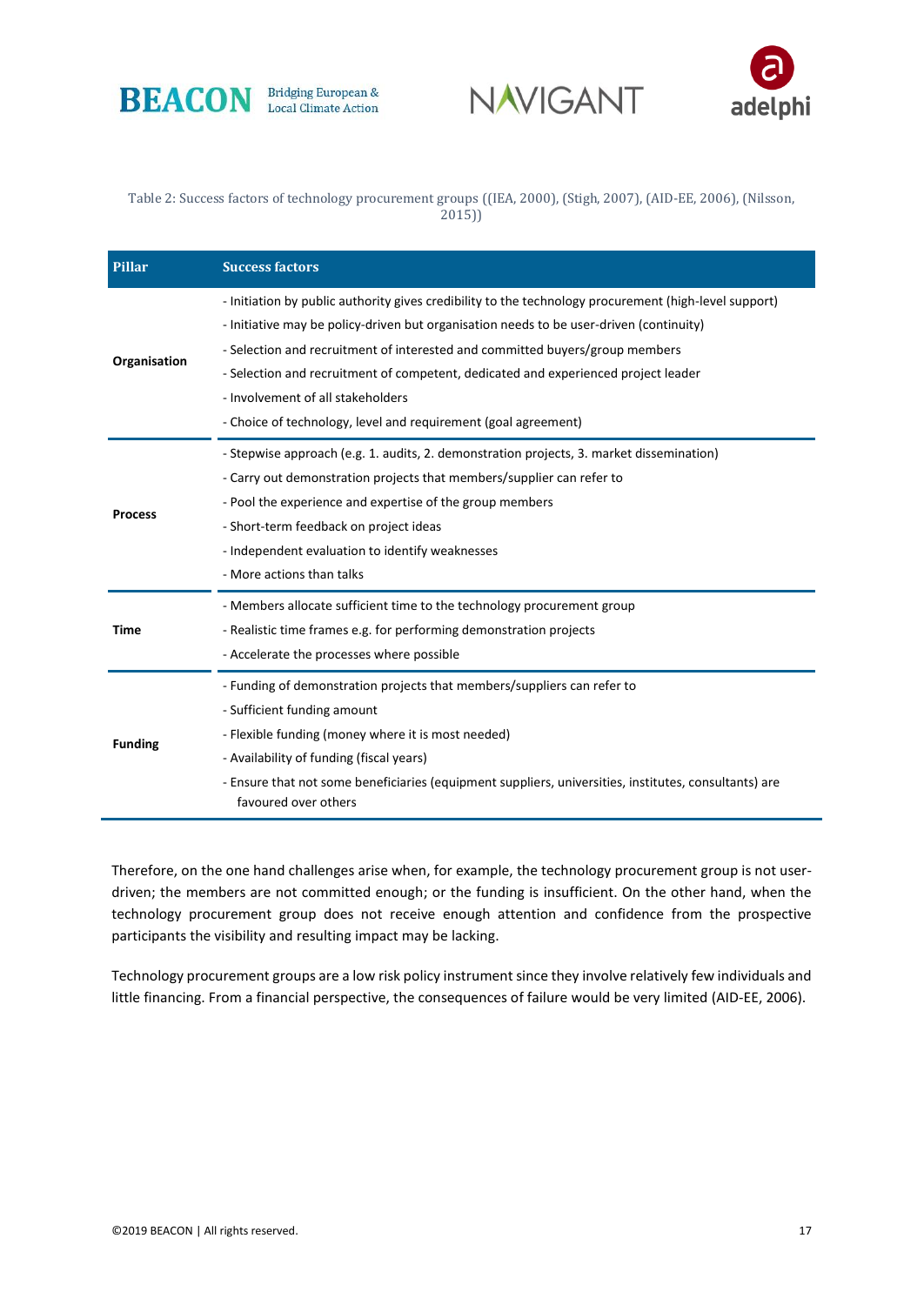





#### <span id="page-17-0"></span>Table 2: Success factors of technology procurement groups ((IEA, 2000), (Stigh, 2007), (AID-EE, 2006), (Nilsson, 2015))

| Pillar         | <b>Success factors</b>                                                                                                                                                                                                                                                                                                                                                                                                                                                        |  |  |  |  |  |
|----------------|-------------------------------------------------------------------------------------------------------------------------------------------------------------------------------------------------------------------------------------------------------------------------------------------------------------------------------------------------------------------------------------------------------------------------------------------------------------------------------|--|--|--|--|--|
| Organisation   | - Initiation by public authority gives credibility to the technology procurement (high-level support)<br>- Initiative may be policy-driven but organisation needs to be user-driven (continuity)<br>- Selection and recruitment of interested and committed buyers/group members<br>- Selection and recruitment of competent, dedicated and experienced project leader<br>- Involvement of all stakeholders<br>- Choice of technology, level and requirement (goal agreement) |  |  |  |  |  |
| <b>Process</b> | - Stepwise approach (e.g. 1. audits, 2. demonstration projects, 3. market dissemination)<br>- Carry out demonstration projects that members/supplier can refer to<br>- Pool the experience and expertise of the group members<br>- Short-term feedback on project ideas<br>- Independent evaluation to identify weaknesses<br>- More actions than talks                                                                                                                       |  |  |  |  |  |
| Time           | - Members allocate sufficient time to the technology procurement group<br>- Realistic time frames e.g. for performing demonstration projects<br>- Accelerate the processes where possible                                                                                                                                                                                                                                                                                     |  |  |  |  |  |
| <b>Funding</b> | - Funding of demonstration projects that members/suppliers can refer to<br>- Sufficient funding amount<br>- Flexible funding (money where it is most needed)<br>- Availability of funding (fiscal years)<br>- Ensure that not some beneficiaries (equipment suppliers, universities, institutes, consultants) are<br>favoured over others                                                                                                                                     |  |  |  |  |  |

Therefore, on the one hand challenges arise when, for example, the technology procurement group is not userdriven; the members are not committed enough; or the funding is insufficient. On the other hand, when the technology procurement group does not receive enough attention and confidence from the prospective participants the visibility and resulting impact may be lacking.

Technology procurement groups are a low risk policy instrument since they involve relatively few individuals and little financing. From a financial perspective, the consequences of failure would be very limited (AID-EE, 2006).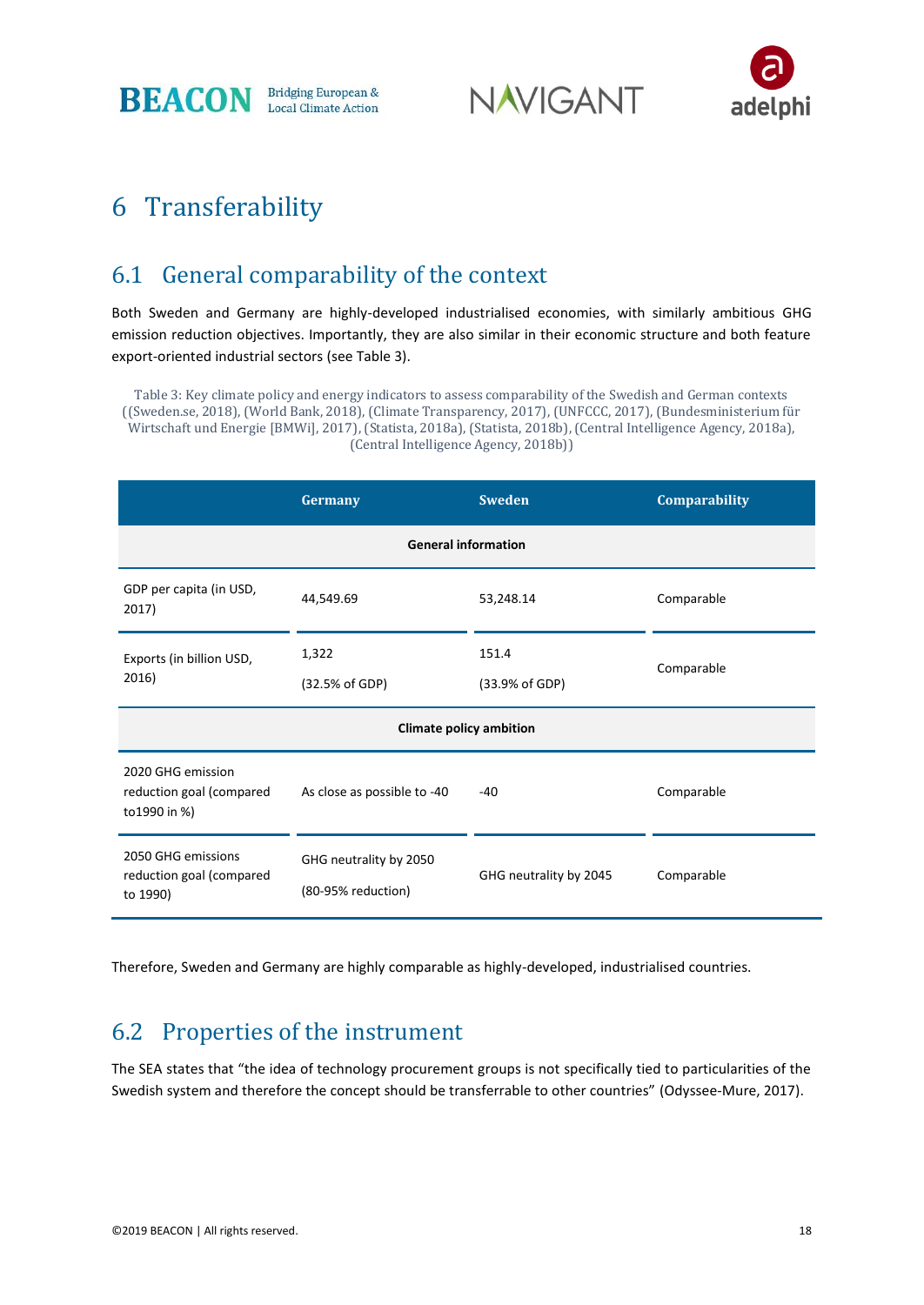**BEACON Bridging European &** Local Climate Action **NAVIGANT** 



## 6 Transferability

#### 6.1 General comparability of the context

Both Sweden and Germany are highly-developed industrialised economies, with similarly ambitious GHG emission reduction objectives. Importantly, they are also similar in their economic structure and both feature export-oriented industrial sectors (see [Table 3\)](#page-18-0).

<span id="page-18-0"></span>Table 3: Key climate policy and energy indicators to assess comparability of the Swedish and German contexts ((Sweden.se, 2018), (World Bank, 2018), (Climate Transparency, 2017), (UNFCCC, 2017), (Bundesministerium für Wirtschaft und Energie [BMWi], 2017), (Statista, 2018a), (Statista, 2018b), (Central Intelligence Agency, 2018a), (Central Intelligence Agency, 2018b))

|                                                                | Germany                                      | <b>Sweden</b>          | Comparability |  |  |  |  |  |  |
|----------------------------------------------------------------|----------------------------------------------|------------------------|---------------|--|--|--|--|--|--|
| <b>General information</b>                                     |                                              |                        |               |  |  |  |  |  |  |
| GDP per capita (in USD,<br>2017)                               | 44,549.69                                    | 53,248.14              | Comparable    |  |  |  |  |  |  |
| Exports (in billion USD,                                       | 1,322                                        | 151.4                  | Comparable    |  |  |  |  |  |  |
| 2016)                                                          | (32.5% of GDP)                               | (33.9% of GDP)         |               |  |  |  |  |  |  |
| <b>Climate policy ambition</b>                                 |                                              |                        |               |  |  |  |  |  |  |
| 2020 GHG emission<br>reduction goal (compared<br>to 1990 in %) | As close as possible to -40                  | $-40$                  | Comparable    |  |  |  |  |  |  |
| 2050 GHG emissions<br>reduction goal (compared<br>to 1990)     | GHG neutrality by 2050<br>(80-95% reduction) | GHG neutrality by 2045 | Comparable    |  |  |  |  |  |  |

Therefore, Sweden and Germany are highly comparable as highly-developed, industrialised countries.

#### 6.2 Properties of the instrument

The SEA states that "the idea of technology procurement groups is not specifically tied to particularities of the Swedish system and therefore the concept should be transferrable to other countries" (Odyssee-Mure, 2017).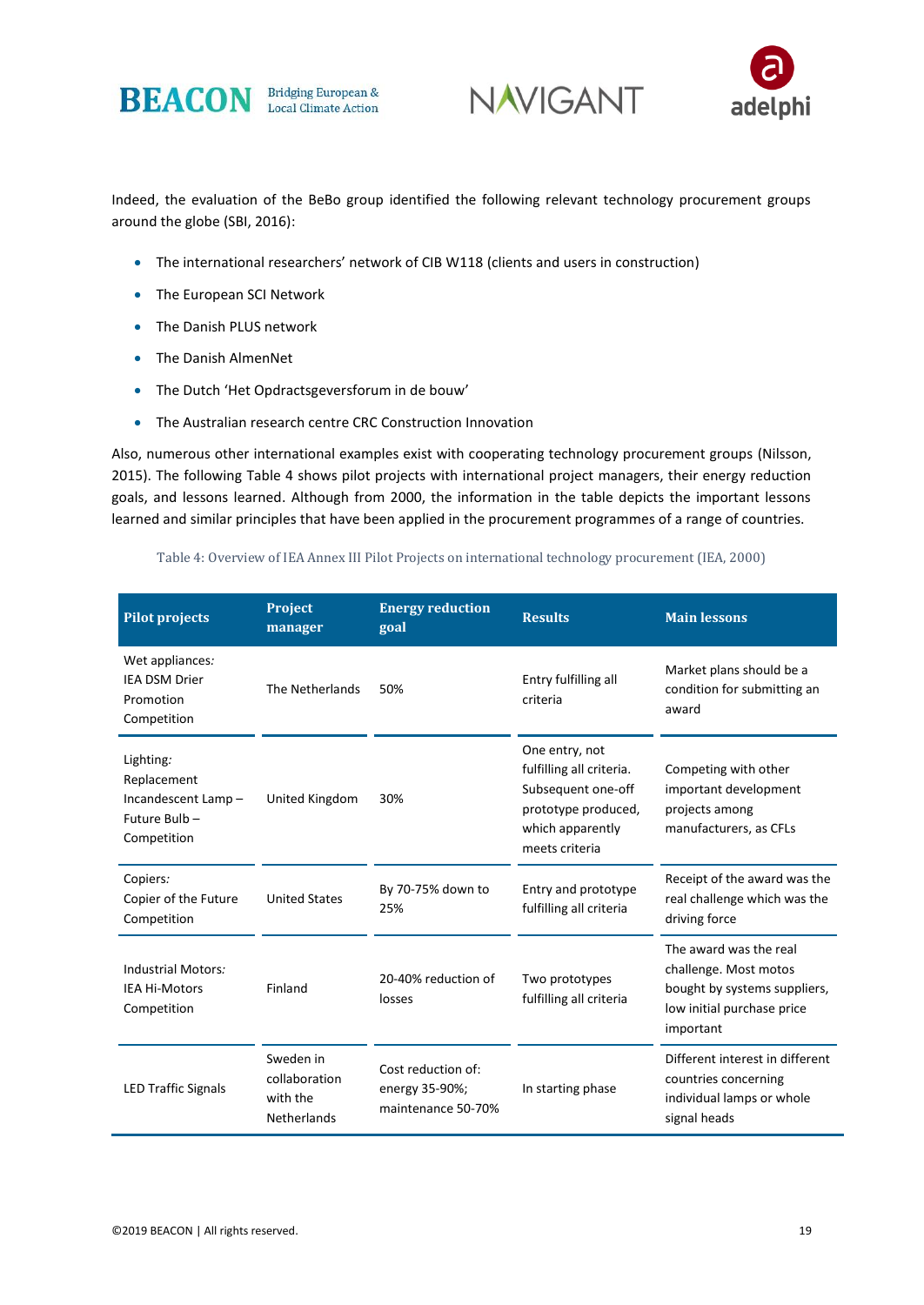





Indeed, the evaluation of the BeBo group identified the following relevant technology procurement groups around the globe (SBI, 2016):

- The international researchers' network of CIB W118 (clients and users in construction)
- The European SCI Network
- The Danish PLUS network
- The Danish AlmenNet
- The Dutch 'Het Opdractsgeversforum in de bouw'
- The Australian research centre CRC Construction Innovation

Also, numerous other international examples exist with cooperating technology procurement groups (Nilsson, 2015). The following [Table 4](#page-19-0) shows pilot projects with international project managers, their energy reduction goals, and lessons learned. Although from 2000, the information in the table depicts the important lessons learned and similar principles that have been applied in the procurement programmes of a range of countries.

#### Table 4: Overview of IEA Annex III Pilot Projects on international technology procurement (IEA, 2000)

<span id="page-19-0"></span>

| <b>Pilot projects</b>                                                                  | <b>Project</b><br>manager                                    | <b>Energy reduction</b><br>goal                            | <b>Results</b>                                                                                                                | <b>Main lessons</b>                                                                                                        |
|----------------------------------------------------------------------------------------|--------------------------------------------------------------|------------------------------------------------------------|-------------------------------------------------------------------------------------------------------------------------------|----------------------------------------------------------------------------------------------------------------------------|
| Wet appliances:<br><b>IEA DSM Drier</b><br>The Netherlands<br>Promotion<br>Competition |                                                              | 50%                                                        | Entry fulfilling all<br>criteria                                                                                              | Market plans should be a<br>condition for submitting an<br>award                                                           |
| Lighting:<br>Replacement<br>Incandescent Lamp-<br>Future Bulb-<br>Competition          | 30%<br>United Kingdom                                        |                                                            | One entry, not<br>fulfilling all criteria.<br>Subsequent one-off<br>prototype produced,<br>which apparently<br>meets criteria | Competing with other<br>important development<br>projects among<br>manufacturers, as CFLs                                  |
| Copiers:<br>Copier of the Future<br>Competition                                        | <b>United States</b>                                         | By 70-75% down to<br>25%                                   | Entry and prototype<br>fulfilling all criteria                                                                                | Receipt of the award was the<br>real challenge which was the<br>driving force                                              |
| <b>Industrial Motors:</b><br><b>IEA Hi-Motors</b><br>Competition                       | Finland                                                      | 20-40% reduction of<br>losses                              | Two prototypes<br>fulfilling all criteria                                                                                     | The award was the real<br>challenge. Most motos<br>bought by systems suppliers,<br>low initial purchase price<br>important |
| <b>LED Traffic Signals</b>                                                             | Sweden in<br>collaboration<br>with the<br><b>Netherlands</b> | Cost reduction of:<br>energy 35-90%;<br>maintenance 50-70% | In starting phase                                                                                                             | Different interest in different<br>countries concerning<br>individual lamps or whole<br>signal heads                       |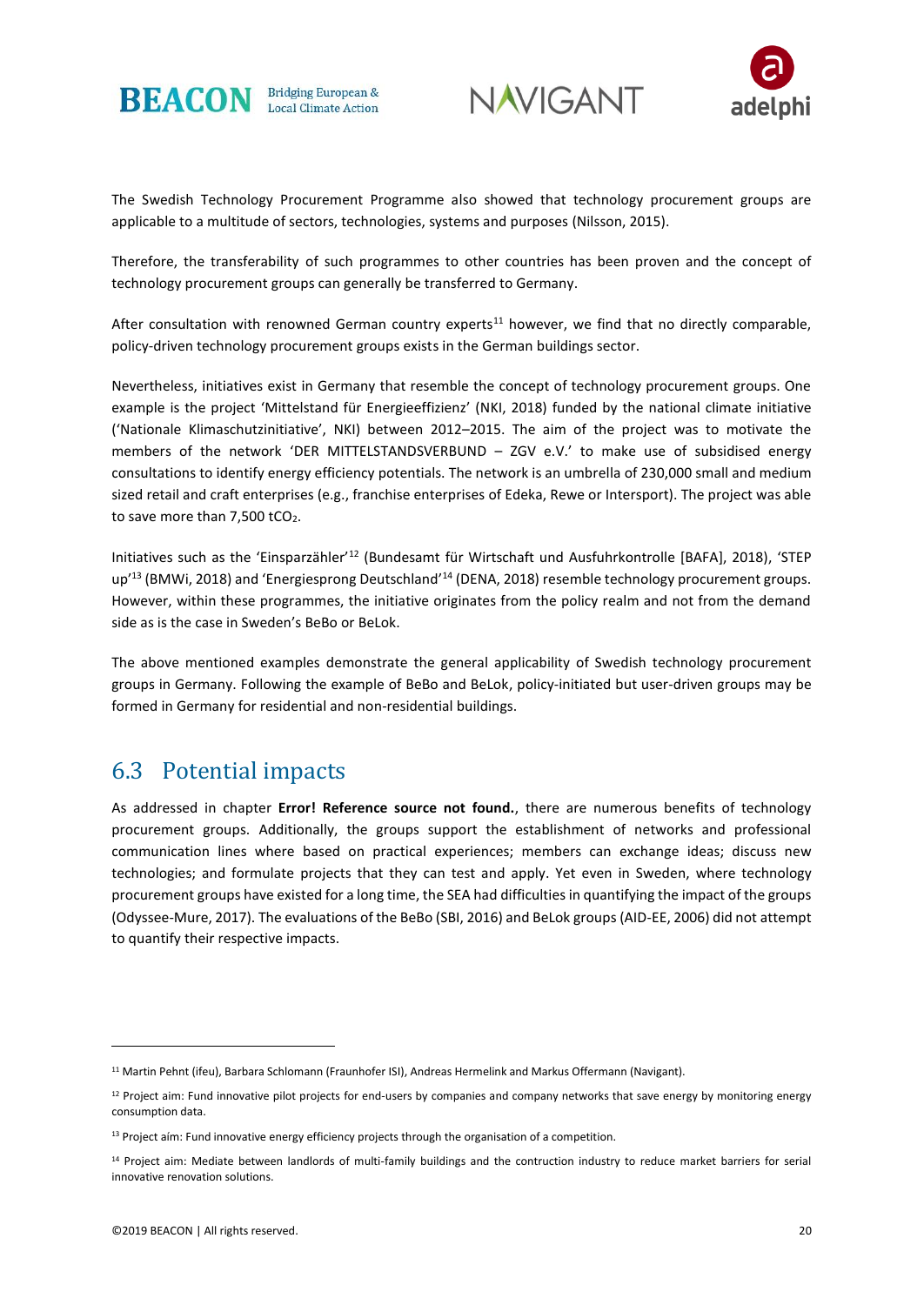





The Swedish Technology Procurement Programme also showed that technology procurement groups are applicable to a multitude of sectors, technologies, systems and purposes (Nilsson, 2015).

Therefore, the transferability of such programmes to other countries has been proven and the concept of technology procurement groups can generally be transferred to Germany.

After consultation with renowned German country experts<sup>11</sup> however, we find that no directly comparable, policy-driven technology procurement groups exists in the German buildings sector.

Nevertheless, initiatives exist in Germany that resemble the concept of technology procurement groups. One example is the project 'Mittelstand für Energieeffizienz' (NKI, 2018) funded by the national climate initiative ('Nationale Klimaschutzinitiative', NKI) between 2012–2015. The aim of the project was to motivate the members of the network 'DER MITTELSTANDSVERBUND – ZGV e.V.' to make use of subsidised energy consultations to identify energy efficiency potentials. The network is an umbrella of 230,000 small and medium sized retail and craft enterprises (e.g., franchise enterprises of Edeka, Rewe or Intersport). The project was able to save more than 7,500 tCO<sub>2</sub>.

Initiatives such as the 'Einsparzähler'<sup>12</sup> (Bundesamt für Wirtschaft und Ausfuhrkontrolle [BAFA], 2018), 'STEP up<sup>'13</sup> (BMWi, 2018) and 'Energiesprong Deutschland'<sup>14</sup> (DENA, 2018) resemble technology procurement groups. However, within these programmes, the initiative originates from the policy realm and not from the demand side as is the case in Sweden's BeBo or BeLok.

The above mentioned examples demonstrate the general applicability of Swedish technology procurement groups in Germany. Following the example of BeBo and BeLok, policy-initiated but user-driven groups may be formed in Germany for residential and non-residential buildings.

#### 6.3 Potential impacts

As addressed in chapter **Error! Reference source not found.**, there are numerous benefits of technology procurement groups. Additionally, the groups support the establishment of networks and professional communication lines where based on practical experiences; members can exchange ideas; discuss new technologies; and formulate projects that they can test and apply. Yet even in Sweden, where technology procurement groups have existed for a long time, the SEA had difficulties in quantifying the impact of the groups (Odyssee-Mure, 2017). The evaluations of the BeBo (SBI, 2016) and BeLok groups (AID-EE, 2006) did not attempt to quantify their respective impacts.

<sup>11</sup> Martin Pehnt (ifeu), Barbara Schlomann (Fraunhofer ISI), Andreas Hermelink and Markus Offermann (Navigant).

 $12$  Project aim: Fund innovative pilot projects for end-users by companies and company networks that save energy by monitoring energy consumption data.

<sup>&</sup>lt;sup>13</sup> Project aím: Fund innovative energy efficiency projects through the organisation of a competition.

<sup>14</sup> Project aim: Mediate between landlords of multi-family buildings and the contruction industry to reduce market barriers for serial innovative renovation solutions.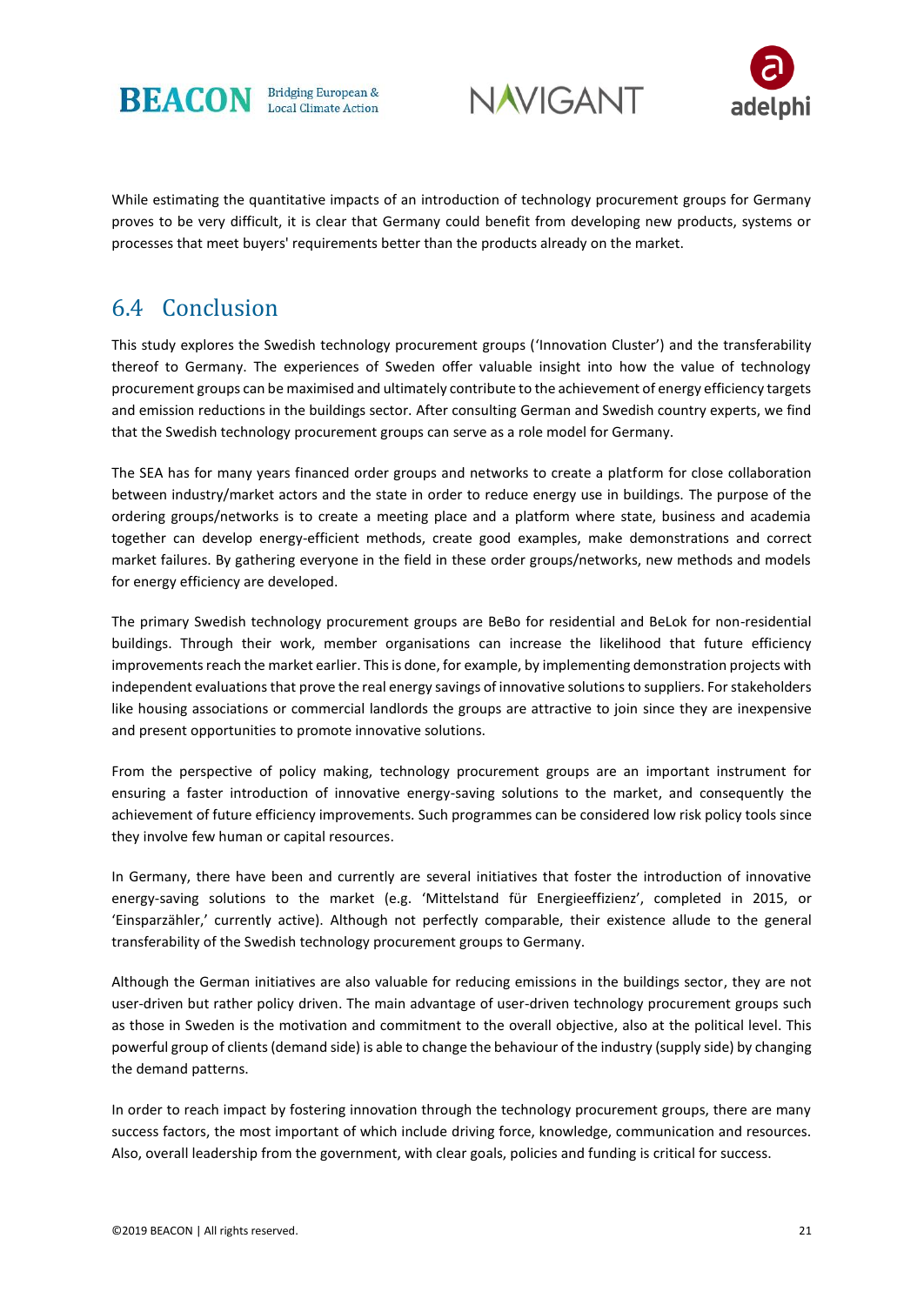





While estimating the quantitative impacts of an introduction of technology procurement groups for Germany proves to be very difficult, it is clear that Germany could benefit from developing new products, systems or processes that meet buyers' requirements better than the products already on the market.

#### 6.4 Conclusion

This study explores the Swedish technology procurement groups ('Innovation Cluster') and the transferability thereof to Germany. The experiences of Sweden offer valuable insight into how the value of technology procurement groups can be maximised and ultimately contribute to the achievement of energy efficiency targets and emission reductions in the buildings sector. After consulting German and Swedish country experts, we find that the Swedish technology procurement groups can serve as a role model for Germany.

The SEA has for many years financed order groups and networks to create a platform for close collaboration between industry/market actors and the state in order to reduce energy use in buildings. The purpose of the ordering groups/networks is to create a meeting place and a platform where state, business and academia together can develop energy-efficient methods, create good examples, make demonstrations and correct market failures. By gathering everyone in the field in these order groups/networks, new methods and models for energy efficiency are developed.

The primary Swedish technology procurement groups are BeBo for residential and BeLok for non-residential buildings. Through their work, member organisations can increase the likelihood that future efficiency improvements reach the market earlier. This is done, for example, by implementing demonstration projects with independent evaluations that prove the real energy savings of innovative solutions to suppliers. For stakeholders like housing associations or commercial landlords the groups are attractive to join since they are inexpensive and present opportunities to promote innovative solutions.

From the perspective of policy making, technology procurement groups are an important instrument for ensuring a faster introduction of innovative energy-saving solutions to the market, and consequently the achievement of future efficiency improvements. Such programmes can be considered low risk policy tools since they involve few human or capital resources.

In Germany, there have been and currently are several initiatives that foster the introduction of innovative energy-saving solutions to the market (e.g. 'Mittelstand für Energieeffizienz', completed in 2015, or 'Einsparzähler,' currently active). Although not perfectly comparable, their existence allude to the general transferability of the Swedish technology procurement groups to Germany.

Although the German initiatives are also valuable for reducing emissions in the buildings sector, they are not user-driven but rather policy driven. The main advantage of user-driven technology procurement groups such as those in Sweden is the motivation and commitment to the overall objective, also at the political level. This powerful group of clients (demand side) is able to change the behaviour of the industry (supply side) by changing the demand patterns.

In order to reach impact by fostering innovation through the technology procurement groups, there are many success factors, the most important of which include driving force, knowledge, communication and resources. Also, overall leadership from the government, with clear goals, policies and funding is critical for success.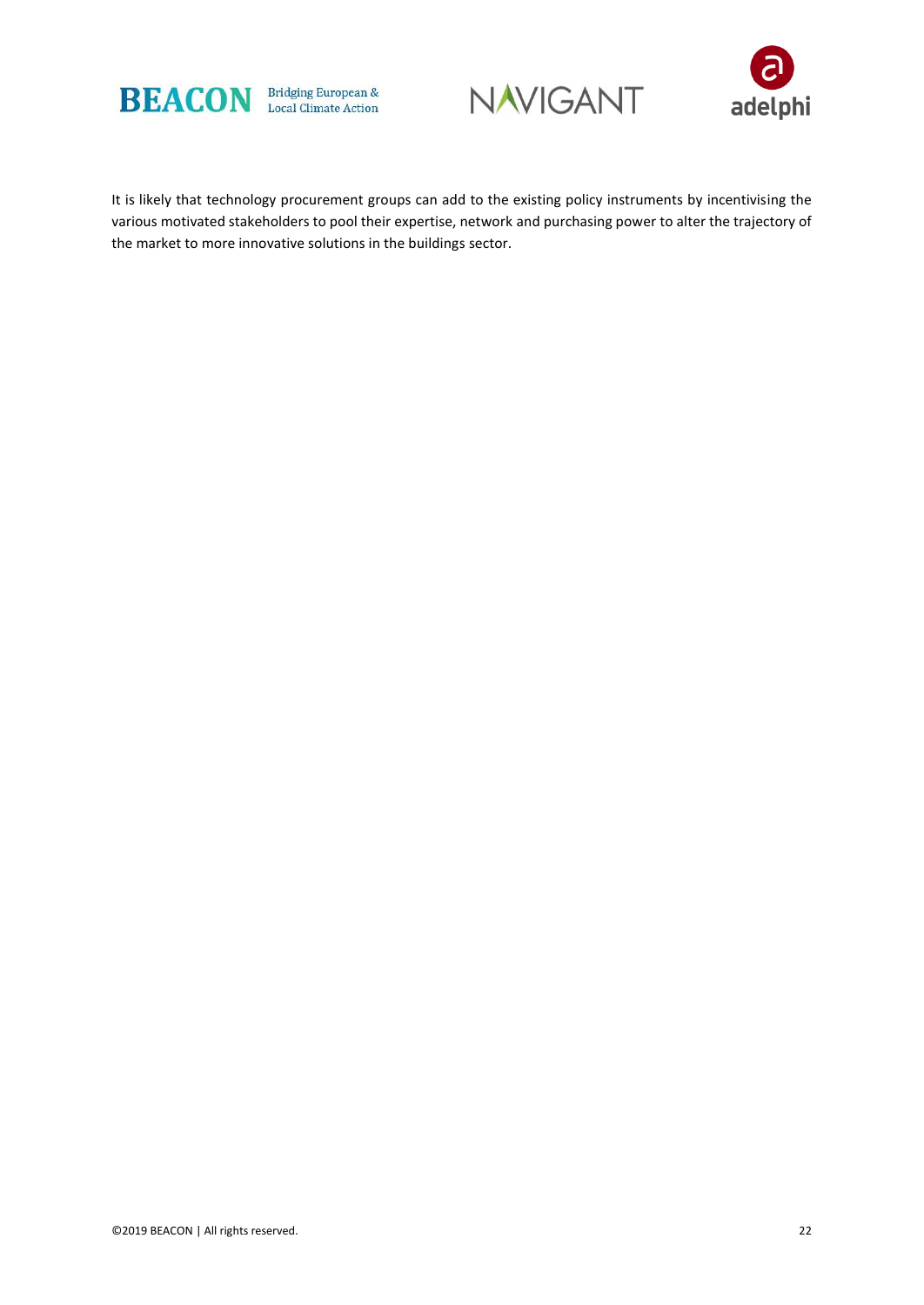





It is likely that technology procurement groups can add to the existing policy instruments by incentivising the various motivated stakeholders to pool their expertise, network and purchasing power to alter the trajectory of the market to more innovative solutions in the buildings sector.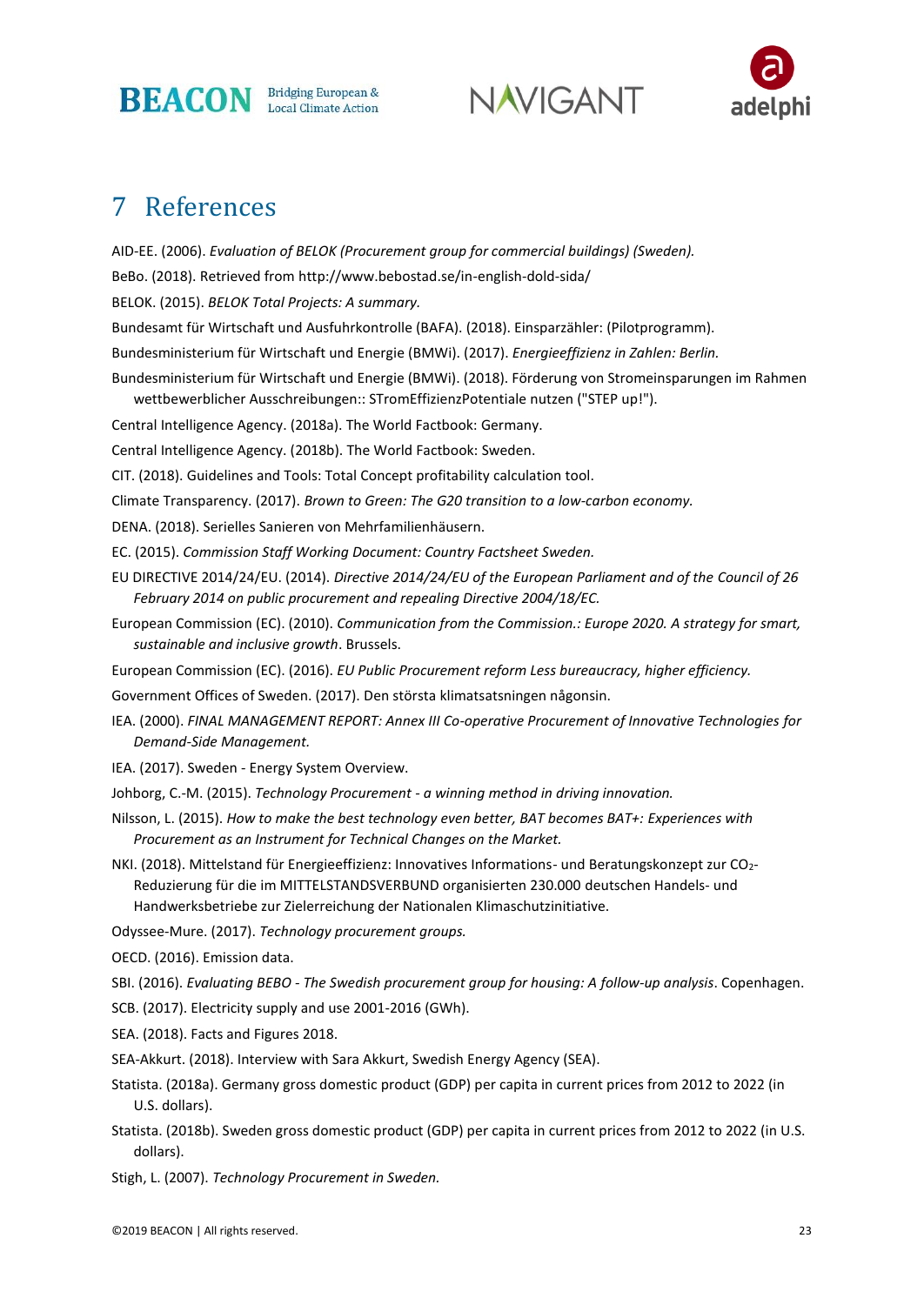

**NAVIGANT** 



### 7 References

AID-EE. (2006). *Evaluation of BELOK (Procurement group for commercial buildings) (Sweden).*

BeBo. (2018). Retrieved from http://www.bebostad.se/in-english-dold-sida/

BELOK. (2015). *BELOK Total Projects: A summary.*

Bundesamt für Wirtschaft und Ausfuhrkontrolle (BAFA). (2018). Einsparzähler: (Pilotprogramm).

Bundesministerium für Wirtschaft und Energie (BMWi). (2017). *Energieeffizienz in Zahlen: Berlin.*

Bundesministerium für Wirtschaft und Energie (BMWi). (2018). Förderung von Stromeinsparungen im Rahmen wettbewerblicher Ausschreibungen:: STromEffizienzPotentiale nutzen ("STEP up!").

Central Intelligence Agency. (2018a). The World Factbook: Germany.

Central Intelligence Agency. (2018b). The World Factbook: Sweden.

CIT. (2018). Guidelines and Tools: Total Concept profitability calculation tool.

Climate Transparency. (2017). *Brown to Green: The G20 transition to a low-carbon economy.*

DENA. (2018). Serielles Sanieren von Mehrfamilienhäusern.

EC. (2015). *Commission Staff Working Document: Country Factsheet Sweden.*

- EU DIRECTIVE 2014/24/EU. (2014). *Directive 2014/24/EU of the European Parliament and of the Council of 26 February 2014 on public procurement and repealing Directive 2004/18/EC.*
- European Commission (EC). (2010). *Communication from the Commission.: Europe 2020. A strategy for smart, sustainable and inclusive growth*. Brussels.

European Commission (EC). (2016). *EU Public Procurement reform Less bureaucracy, higher efficiency.*

Government Offices of Sweden. (2017). Den största klimatsatsningen någonsin.

IEA. (2000). *FINAL MANAGEMENT REPORT: Annex III Co-operative Procurement of Innovative Technologies for Demand-Side Management.*

IEA. (2017). Sweden - Energy System Overview.

Johborg, C.-M. (2015). *Technology Procurement - a winning method in driving innovation.* 

- Nilsson, L. (2015). *How to make the best technology even better, BAT becomes BAT+: Experiences with Procurement as an Instrument for Technical Changes on the Market.*
- NKI. (2018). Mittelstand für Energieeffizienz: Innovatives Informations- und Beratungskonzept zur CO2- Reduzierung für die im MITTELSTANDSVERBUND organisierten 230.000 deutschen Handels- und Handwerksbetriebe zur Zielerreichung der Nationalen Klimaschutzinitiative.

Odyssee-Mure. (2017). *Technology procurement groups.*

OECD. (2016). Emission data.

SBI. (2016). *Evaluating BEBO - The Swedish procurement group for housing: A follow-up analysis*. Copenhagen.

- SCB. (2017). Electricity supply and use 2001-2016 (GWh).
- SEA. (2018). Facts and Figures 2018.

SEA-Akkurt. (2018). Interview with Sara Akkurt, Swedish Energy Agency (SEA).

- Statista. (2018a). Germany gross domestic product (GDP) per capita in current prices from 2012 to 2022 (in U.S. dollars).
- Statista. (2018b). Sweden gross domestic product (GDP) per capita in current prices from 2012 to 2022 (in U.S. dollars).

Stigh, L. (2007). *Technology Procurement in Sweden.*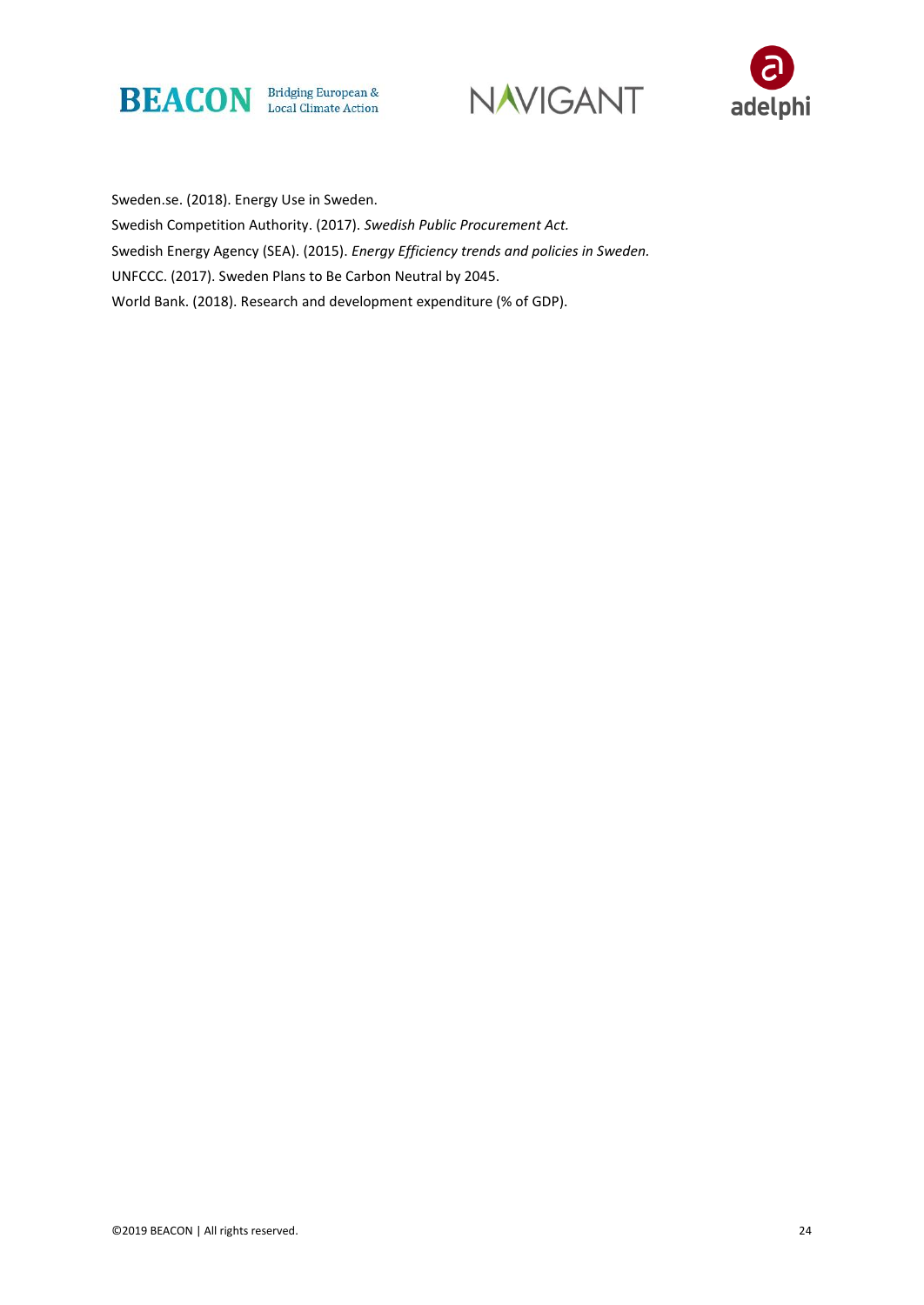





Sweden.se. (2018). Energy Use in Sweden. Swedish Competition Authority. (2017). *Swedish Public Procurement Act.* Swedish Energy Agency (SEA). (2015). *Energy Efficiency trends and policies in Sweden.* UNFCCC. (2017). Sweden Plans to Be Carbon Neutral by 2045. World Bank. (2018). Research and development expenditure (% of GDP).